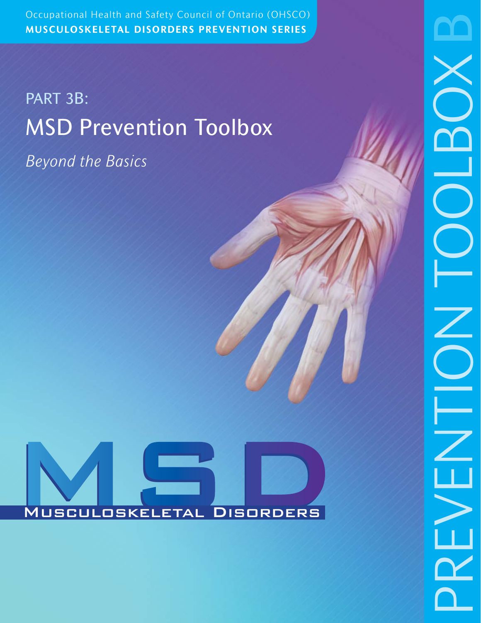Occupational Health and Safety Council of Ontario (OHSCO) Occupational Health and Safety Council of Ontario (OHSCO) **MUSCULOSKELETAL DISORDERS PREVENTION SERIES**

# PART 3B: MSD Prevention Toolbox

*Beyond the Basics*

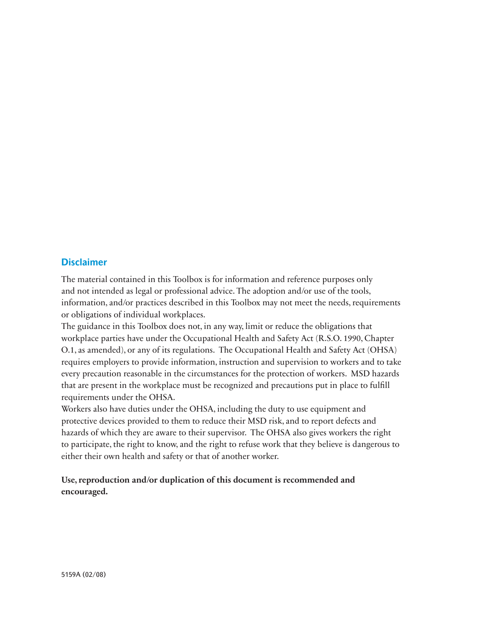# **Disclaimer**

The material contained in this Toolbox is for information and reference purposes only and not intended as legal or professional advice. The adoption and/or use of the tools, information, and/or practices described in this Toolbox may not meet the needs, requirements or obligations of individual workplaces.

The guidance in this Toolbox does not, in any way, limit or reduce the obligations that workplace parties have under the Occupational Health and Safety Act (R.S.O. 1990, Chapter O.1, as amended), or any of its regulations. The Occupational Health and Safety Act (OHSA) requires employers to provide information, instruction and supervision to workers and to take every precaution reasonable in the circumstances for the protection of workers. MSD hazards that are present in the workplace must be recognized and precautions put in place to fulfill requirements under the OHSA.

Workers also have duties under the OHSA, including the duty to use equipment and protective devices provided to them to reduce their MSD risk, and to report defects and hazards of which they are aware to their supervisor. The OHSA also gives workers the right to participate, the right to know, and the right to refuse work that they believe is dangerous to either their own health and safety or that of another worker.

# **Use, reproduction and/or duplication of this document is recommended and encouraged.**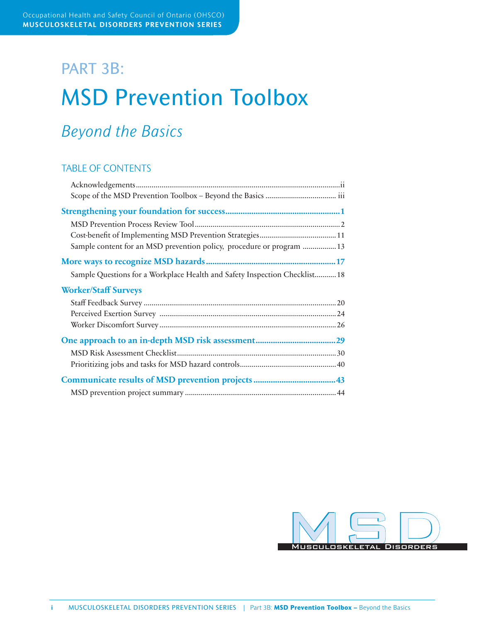# PART 3B: MSD Prevention Toolbox

# *Beyond the Basics*

# TABLE OF CONTENTS

| Sample content for an MSD prevention policy, procedure or program  13      |  |
|----------------------------------------------------------------------------|--|
|                                                                            |  |
| Sample Questions for a Workplace Health and Safety Inspection Checklist 18 |  |
| <b>Worker/Staff Surveys</b>                                                |  |
|                                                                            |  |
|                                                                            |  |
|                                                                            |  |
|                                                                            |  |
|                                                                            |  |
|                                                                            |  |
|                                                                            |  |
|                                                                            |  |

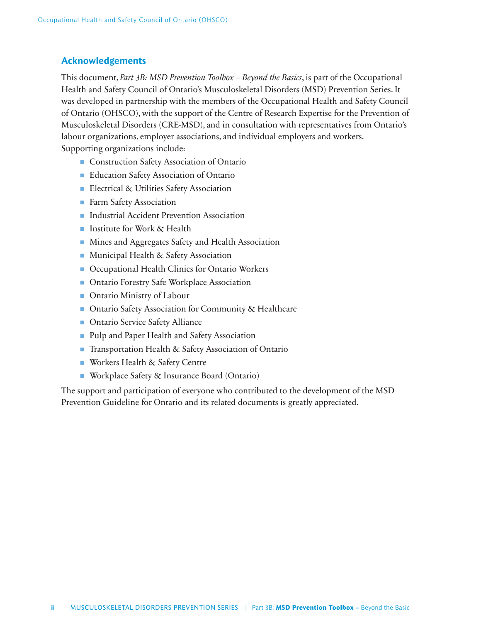# **Acknowledgements**

This document, *Part 3B: MSD Prevention Toolbox – Beyond the Basics*, is part of the Occupational Health and Safety Council of Ontario's Musculoskeletal Disorders (MSD) Prevention Series. It was developed in partnership with the members of the Occupational Health and Safety Council of Ontario (OHSCO), with the support of the Centre of Research Expertise for the Prevention of Musculoskeletal Disorders (CRE-MSD), and in consultation with representatives from Ontario's labour organizations, employer associations, and individual employers and workers. Supporting organizations include:

- Construction Safety Association of Ontario
- Education Safety Association of Ontario
- Electrical & Utilities Safety Association
- Farm Safety Association
- Industrial Accident Prevention Association
- Institute for Work & Health
- Mines and Aggregates Safety and Health Association
- Municipal Health & Safety Association
- Occupational Health Clinics for Ontario Workers
- Ontario Forestry Safe Workplace Association
- Ontario Ministry of Labour
- Ontario Safety Association for Community & Healthcare
- Ontario Service Safety Alliance
- Pulp and Paper Health and Safety Association
- Transportation Health & Safety Association of Ontario
- Workers Health & Safety Centre
- Workplace Safety & Insurance Board (Ontario)

The support and participation of everyone who contributed to the development of the MSD Prevention Guideline for Ontario and its related documents is greatly appreciated.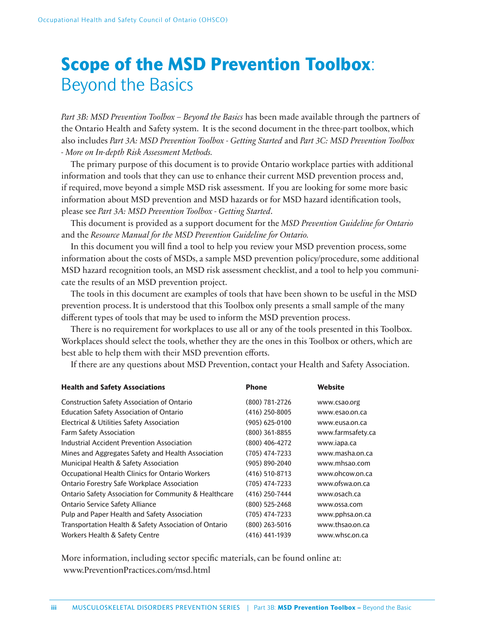# **Scope of the MSD Prevention Toolbox**: Beyond the Basics

*Part 3B: MSD Prevention Toolbox – Beyond the Basics* has been made available through the partners of the Ontario Health and Safety system. It is the second document in the three-part toolbox, which also includes *Part 3A: MSD Prevention Toolbox - Getting Started* and *Part 3C: MSD Prevention Toolbox - More on In-depth Risk Assessment Methods.*

The primary purpose of this document is to provide Ontario workplace parties with additional information and tools that they can use to enhance their current MSD prevention process and, if required, move beyond a simple MSD risk assessment. If you are looking for some more basic information about MSD prevention and MSD hazards or for MSD hazard identification tools, please see *Part 3A: MSD Prevention Toolbox - Getting Started*.

This document is provided as a support document for the *MSD Prevention Guideline for Ontario*  and the *Resource Manual for the MSD Prevention Guideline for Ontario.*

In this document you will find a tool to help you review your MSD prevention process, some information about the costs of MSDs, a sample MSD prevention policy/procedure, some additional MSD hazard recognition tools, an MSD risk assessment checklist, and a tool to help you communicate the results of an MSD prevention project.

The tools in this document are examples of tools that have been shown to be useful in the MSD prevention process. It is understood that this Toolbox only presents a small sample of the many different types of tools that may be used to inform the MSD prevention process.

There is no requirement for workplaces to use all or any of the tools presented in this Toolbox. Workplaces should select the tools, whether they are the ones in this Toolbox or others, which are best able to help them with their MSD prevention efforts.

If there are any questions about MSD Prevention, contact your Health and Safety Association.

| <b>Health and Safety Associations</b>                            | <b>Phone</b>     | Website           |
|------------------------------------------------------------------|------------------|-------------------|
| <b>Construction Safety Association of Ontario</b>                | (800) 781-2726   | www.csao.org      |
| <b>Education Safety Association of Ontario</b>                   | $(416)$ 250-8005 | www.esao.on.ca    |
| Electrical & Utilities Safety Association                        | $(905)$ 625-0100 | www.eusa.on.ca    |
| <b>Farm Safety Association</b>                                   | $(800)$ 361-8855 | www.farmsafety.ca |
| Industrial Accident Prevention Association                       | $(800)$ 406-4272 | www.japa.ca       |
| Mines and Aggregates Safety and Health Association               | (705) 474-7233   | www.masha.on.ca   |
| Municipal Health & Safety Association                            | (905) 890-2040   | www.mhsao.com     |
| Occupational Health Clinics for Ontario Workers                  | $(416)$ 510-8713 | www.ohcow.on.ca   |
| <b>Ontario Forestry Safe Workplace Association</b>               | $(705)$ 474-7233 | www.ofswa.on.ca   |
| <b>Ontario Safety Association for Community &amp; Healthcare</b> | $(416)$ 250-7444 | www.osach.ca      |
| <b>Ontario Service Safety Alliance</b>                           | $(800)$ 525-2468 | www.ossa.com      |
| Pulp and Paper Health and Safety Association                     | (705) 474-7233   | www.pphsa.on.ca   |
| Transportation Health & Safety Association of Ontario            | $(800)$ 263-5016 | www.thsao.on.ca   |
| Workers Health & Safety Centre                                   | (416) 441-1939   | www.whsc.on.ca    |
|                                                                  |                  |                   |

More information, including sector specific materials, can be found online at: www.PreventionPractices.com/msd.html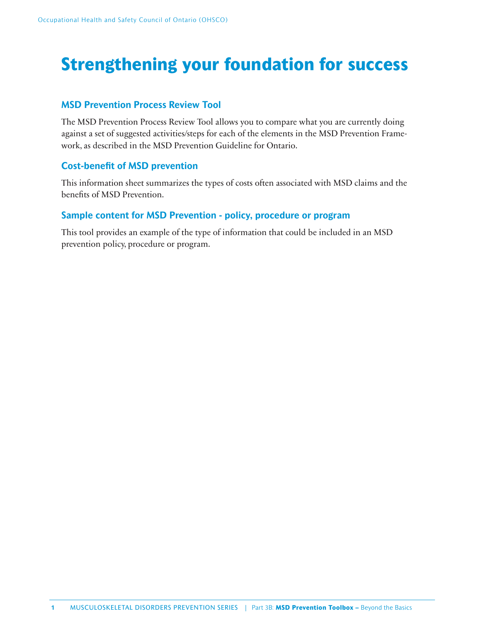# **Strengthening your foundation for success**

# **MSD Prevention Process Review Tool**

The MSD Prevention Process Review Tool allows you to compare what you are currently doing against a set of suggested activities/steps for each of the elements in the MSD Prevention Framework, as described in the MSD Prevention Guideline for Ontario.

# **Cost-benefit of MSD prevention**

This information sheet summarizes the types of costs often associated with MSD claims and the benefits of MSD Prevention.

# **Sample content for MSD Prevention - policy, procedure or program**

This tool provides an example of the type of information that could be included in an MSD prevention policy, procedure or program.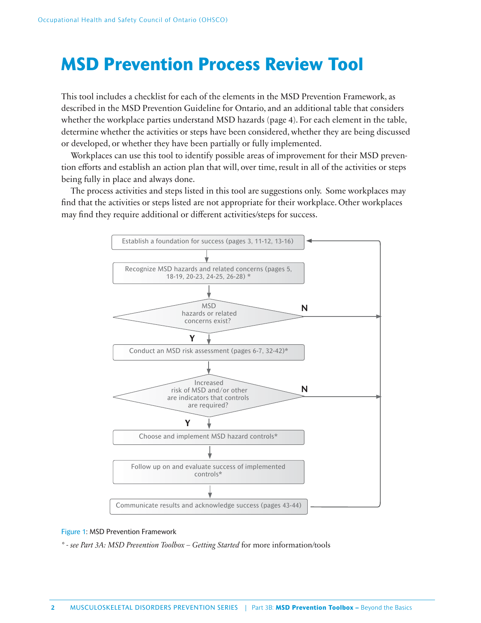# **MSD Prevention Process Review Tool**

This tool includes a checklist for each of the elements in the MSD Prevention Framework, as described in the MSD Prevention Guideline for Ontario, and an additional table that considers whether the workplace parties understand MSD hazards (page 4). For each element in the table, determine whether the activities or steps have been considered, whether they are being discussed or developed, or whether they have been partially or fully implemented.

Workplaces can use this tool to identify possible areas of improvement for their MSD prevention efforts and establish an action plan that will, over time, result in all of the activities or steps being fully in place and always done.

The process activities and steps listed in this tool are suggestions only. Some workplaces may find that the activities or steps listed are not appropriate for their workplace. Other workplaces may find they require additional or different activities/steps for success.



### Figure 1: MSD Prevention Framework

*\* - see Part 3A: MSD Prevention Toolbox – Getting Started* for more information/tools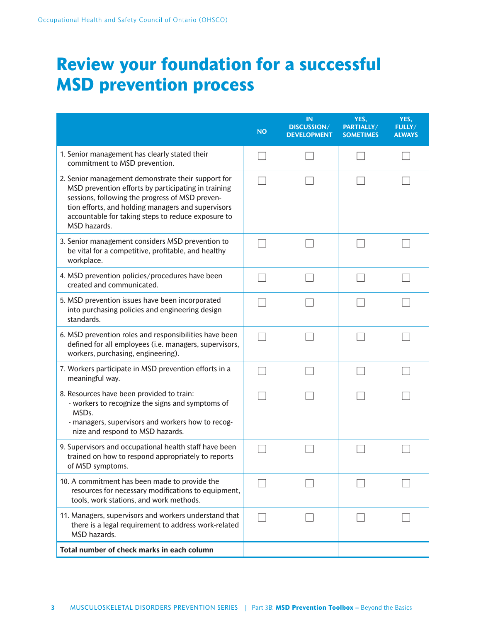# **Review your foundation for a successful MSD prevention process**

|                                                                                                                                                                                                                                                                                          | <b>NO</b> | IN<br>DISCUSSION/<br><b>DEVELOPMENT</b> | YES,<br>PARTIALLY/<br><b>SOMETIMES</b> | YES,<br><b>FULLY/</b><br><b>ALWAYS</b> |
|------------------------------------------------------------------------------------------------------------------------------------------------------------------------------------------------------------------------------------------------------------------------------------------|-----------|-----------------------------------------|----------------------------------------|----------------------------------------|
| 1. Senior management has clearly stated their<br>commitment to MSD prevention.                                                                                                                                                                                                           |           |                                         |                                        |                                        |
| 2. Senior management demonstrate their support for<br>MSD prevention efforts by participating in training<br>sessions, following the progress of MSD preven-<br>tion efforts, and holding managers and supervisors<br>accountable for taking steps to reduce exposure to<br>MSD hazards. |           |                                         |                                        |                                        |
| 3. Senior management considers MSD prevention to<br>be vital for a competitive, profitable, and healthy<br>workplace.                                                                                                                                                                    |           |                                         |                                        |                                        |
| 4. MSD prevention policies/procedures have been<br>created and communicated.                                                                                                                                                                                                             |           |                                         |                                        |                                        |
| 5. MSD prevention issues have been incorporated<br>into purchasing policies and engineering design<br>standards.                                                                                                                                                                         |           |                                         |                                        |                                        |
| 6. MSD prevention roles and responsibilities have been<br>defined for all employees (i.e. managers, supervisors,<br>workers, purchasing, engineering).                                                                                                                                   |           |                                         |                                        |                                        |
| 7. Workers participate in MSD prevention efforts in a<br>meaningful way.                                                                                                                                                                                                                 |           |                                         |                                        |                                        |
| 8. Resources have been provided to train:<br>- workers to recognize the signs and symptoms of<br>MSDs.<br>- managers, supervisors and workers how to recog-<br>nize and respond to MSD hazards.                                                                                          |           |                                         |                                        |                                        |
| 9. Supervisors and occupational health staff have been<br>trained on how to respond appropriately to reports<br>of MSD symptoms.                                                                                                                                                         |           |                                         |                                        |                                        |
| 10. A commitment has been made to provide the<br>resources for necessary modifications to equipment,<br>tools, work stations, and work methods.                                                                                                                                          |           |                                         |                                        |                                        |
| 11. Managers, supervisors and workers understand that<br>there is a legal requirement to address work-related<br>MSD hazards.                                                                                                                                                            |           |                                         |                                        |                                        |
| Total number of check marks in each column                                                                                                                                                                                                                                               |           |                                         |                                        |                                        |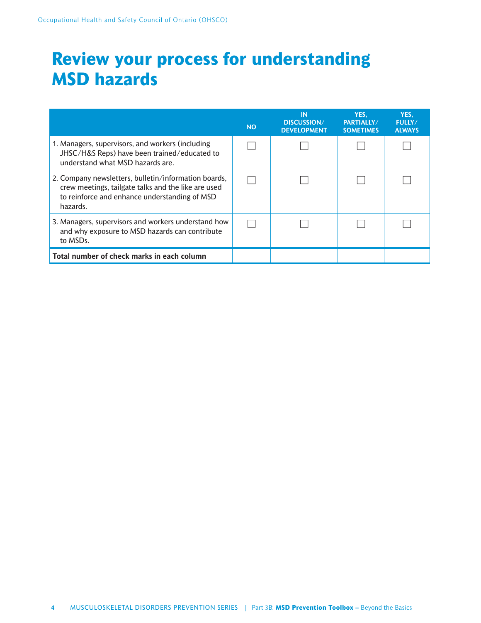# **Review your process for understanding MSD hazards**

|                                                                                                                                                                          | <b>NO</b> | IN<br><b>DISCUSSION/</b><br><b>DEVELOPMENT</b> | YES.<br>PARTIALLY/<br><b>SOMETIMES</b> | YES.<br><b>FULLY/</b><br><b>ALWAYS</b> |
|--------------------------------------------------------------------------------------------------------------------------------------------------------------------------|-----------|------------------------------------------------|----------------------------------------|----------------------------------------|
| 1. Managers, supervisors, and workers (including<br>JHSC/H&S Reps) have been trained/educated to<br>understand what MSD hazards are.                                     |           |                                                |                                        |                                        |
| 2. Company newsletters, bulletin/information boards,<br>crew meetings, tailgate talks and the like are used<br>to reinforce and enhance understanding of MSD<br>hazards. |           |                                                |                                        |                                        |
| 3. Managers, supervisors and workers understand how<br>and why exposure to MSD hazards can contribute<br>to MSDs.                                                        |           |                                                |                                        |                                        |
| Total number of check marks in each column                                                                                                                               |           |                                                |                                        |                                        |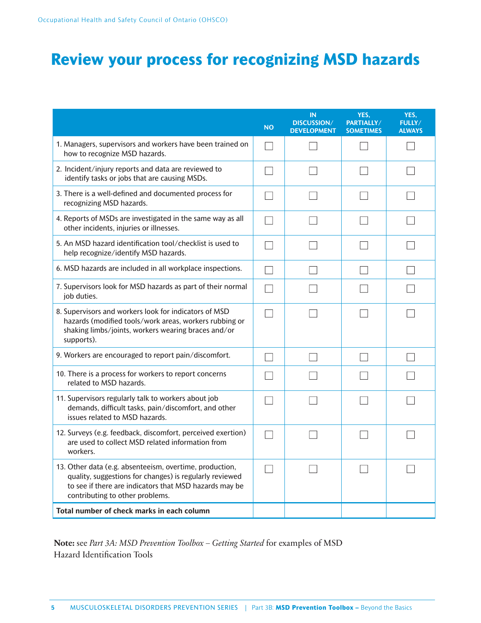# **Review your process for recognizing MSD hazards**

|                                                                                                                                                                                                                 | <b>NO</b> | <b>IN</b><br><b>DISCUSSION/</b><br><b>DEVELOPMENT</b> | YES,<br>PARTIALLY/<br><b>SOMETIMES</b> | YES.<br><b>FULLY/</b><br><b>ALWAYS</b> |
|-----------------------------------------------------------------------------------------------------------------------------------------------------------------------------------------------------------------|-----------|-------------------------------------------------------|----------------------------------------|----------------------------------------|
| 1. Managers, supervisors and workers have been trained on<br>how to recognize MSD hazards.                                                                                                                      |           |                                                       |                                        |                                        |
| 2. Incident/injury reports and data are reviewed to<br>identify tasks or jobs that are causing MSDs.                                                                                                            |           |                                                       |                                        |                                        |
| 3. There is a well-defined and documented process for<br>recognizing MSD hazards.                                                                                                                               |           |                                                       |                                        |                                        |
| 4. Reports of MSDs are investigated in the same way as all<br>other incidents, injuries or illnesses.                                                                                                           |           |                                                       |                                        |                                        |
| 5. An MSD hazard identification tool/checklist is used to<br>help recognize/identify MSD hazards.                                                                                                               |           |                                                       |                                        |                                        |
| 6. MSD hazards are included in all workplace inspections.                                                                                                                                                       |           |                                                       |                                        |                                        |
| 7. Supervisors look for MSD hazards as part of their normal<br>job duties.                                                                                                                                      |           |                                                       |                                        |                                        |
| 8. Supervisors and workers look for indicators of MSD<br>hazards (modified tools/work areas, workers rubbing or<br>shaking limbs/joints, workers wearing braces and/or<br>supports).                            |           |                                                       |                                        |                                        |
| 9. Workers are encouraged to report pain/discomfort.                                                                                                                                                            |           |                                                       |                                        |                                        |
| 10. There is a process for workers to report concerns<br>related to MSD hazards.                                                                                                                                |           |                                                       |                                        |                                        |
| 11. Supervisors regularly talk to workers about job<br>demands, difficult tasks, pain/discomfort, and other<br>issues related to MSD hazards.                                                                   |           |                                                       |                                        |                                        |
| 12. Surveys (e.g. feedback, discomfort, perceived exertion)<br>are used to collect MSD related information from<br>workers.                                                                                     |           |                                                       |                                        |                                        |
| 13. Other data (e.g. absenteeism, overtime, production,<br>quality, suggestions for changes) is regularly reviewed<br>to see if there are indicators that MSD hazards may be<br>contributing to other problems. |           |                                                       |                                        |                                        |
| Total number of check marks in each column                                                                                                                                                                      |           |                                                       |                                        |                                        |

**Note:** see *Part 3A: MSD Prevention Toolbox – Getting Started* for examples of MSD Hazard Identification Tools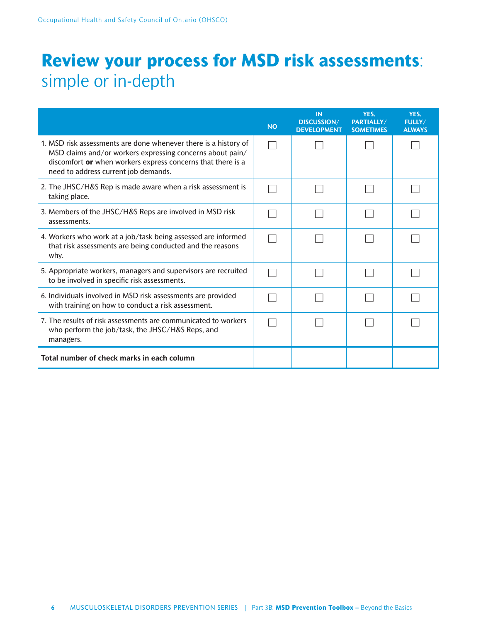# **Review your process for MSD risk assessments**: simple or in-depth

|                                                                                                                                                                                                                                     | <b>NO</b> | <b>IN</b><br><b>DISCUSSION/</b><br><b>DEVELOPMENT</b> | YES,<br>PARTIALLY/<br><b>SOMETIMES</b> | YES.<br><b>FULLY/</b><br><b>ALWAYS</b> |
|-------------------------------------------------------------------------------------------------------------------------------------------------------------------------------------------------------------------------------------|-----------|-------------------------------------------------------|----------------------------------------|----------------------------------------|
| 1. MSD risk assessments are done whenever there is a history of<br>MSD claims and/or workers expressing concerns about pain/<br>discomfort or when workers express concerns that there is a<br>need to address current job demands. |           |                                                       |                                        |                                        |
| 2. The JHSC/H&S Rep is made aware when a risk assessment is<br>taking place.                                                                                                                                                        |           |                                                       |                                        |                                        |
| 3. Members of the JHSC/H&S Reps are involved in MSD risk<br>assessments.                                                                                                                                                            |           |                                                       |                                        |                                        |
| 4. Workers who work at a job/task being assessed are informed<br>that risk assessments are being conducted and the reasons<br>why.                                                                                                  |           |                                                       |                                        |                                        |
| 5. Appropriate workers, managers and supervisors are recruited<br>to be involved in specific risk assessments.                                                                                                                      |           |                                                       |                                        |                                        |
| 6. Individuals involved in MSD risk assessments are provided<br>with training on how to conduct a risk assessment.                                                                                                                  |           |                                                       |                                        |                                        |
| 7. The results of risk assessments are communicated to workers<br>who perform the job/task, the JHSC/H&S Reps, and<br>managers.                                                                                                     |           |                                                       |                                        |                                        |
| Total number of check marks in each column                                                                                                                                                                                          |           |                                                       |                                        |                                        |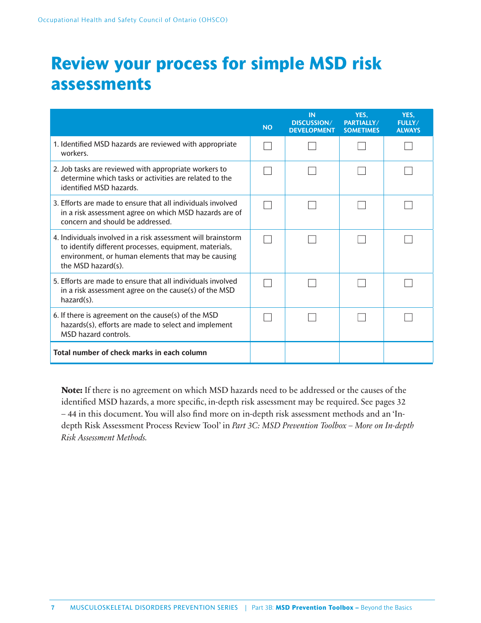# **Review your process for simple MSD risk assessments**

|                                                                                                                                                                                                    | <b>NO</b> | <b>IN</b><br><b>DISCUSSION/</b><br><b>DEVELOPMENT</b> | YES.<br><b>PARTIALLY/</b><br><b>SOMETIMES</b> | YES.<br>FULLY/<br><b>ALWAYS</b> |
|----------------------------------------------------------------------------------------------------------------------------------------------------------------------------------------------------|-----------|-------------------------------------------------------|-----------------------------------------------|---------------------------------|
| 1. Identified MSD hazards are reviewed with appropriate<br>workers.                                                                                                                                |           |                                                       |                                               |                                 |
| 2. Job tasks are reviewed with appropriate workers to<br>determine which tasks or activities are related to the<br>identified MSD hazards.                                                         |           |                                                       |                                               |                                 |
| 3. Efforts are made to ensure that all individuals involved<br>in a risk assessment agree on which MSD hazards are of<br>concern and should be addressed.                                          |           |                                                       |                                               |                                 |
| 4. Individuals involved in a risk assessment will brainstorm<br>to identify different processes, equipment, materials,<br>environment, or human elements that may be causing<br>the MSD hazard(s). |           |                                                       |                                               |                                 |
| 5. Efforts are made to ensure that all individuals involved<br>in a risk assessment agree on the cause(s) of the MSD<br>$hazard(s)$ .                                                              |           |                                                       |                                               |                                 |
| 6. If there is agreement on the cause(s) of the MSD<br>hazards(s), efforts are made to select and implement<br><b>MSD hazard controls.</b>                                                         |           |                                                       |                                               |                                 |
| Total number of check marks in each column                                                                                                                                                         |           |                                                       |                                               |                                 |

**Note:** If there is no agreement on which MSD hazards need to be addressed or the causes of the identified MSD hazards, a more specific, in-depth risk assessment may be required. See pages 32 – 44 in this document. You will also find more on in-depth risk assessment methods and an 'Indepth Risk Assessment Process Review Tool' in *Part 3C: MSD Prevention Toolbox – More on In-depth Risk Assessment Methods.*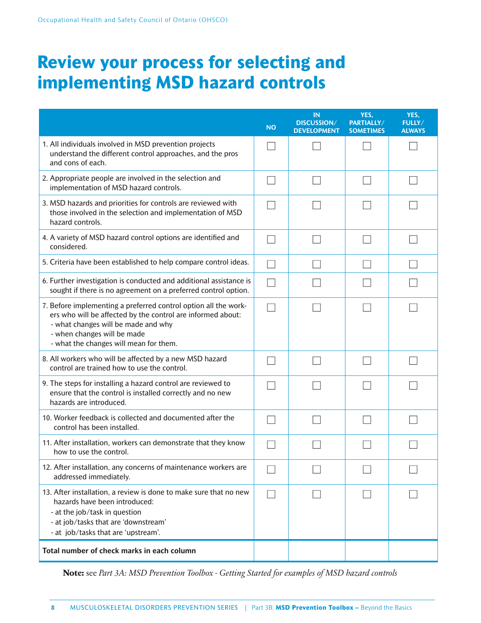# **Review your process for selecting and implementing MSD hazard controls**

|                                                                                                                                                                                                                                                | <b>NO</b> | IN<br><b>DISCUSSION/</b><br><b>DEVELOPMENT</b> | YES.<br>PARTIALLY/<br><b>SOMETIMES</b> | YES.<br>FULLY/<br><b>ALWAYS</b> |
|------------------------------------------------------------------------------------------------------------------------------------------------------------------------------------------------------------------------------------------------|-----------|------------------------------------------------|----------------------------------------|---------------------------------|
| 1. All individuals involved in MSD prevention projects<br>understand the different control approaches, and the pros<br>and cons of each.                                                                                                       |           |                                                |                                        |                                 |
| 2. Appropriate people are involved in the selection and<br>implementation of MSD hazard controls.                                                                                                                                              |           |                                                |                                        |                                 |
| 3. MSD hazards and priorities for controls are reviewed with<br>those involved in the selection and implementation of MSD<br>hazard controls.                                                                                                  |           |                                                |                                        |                                 |
| 4. A variety of MSD hazard control options are identified and<br>considered.                                                                                                                                                                   |           |                                                |                                        |                                 |
| 5. Criteria have been established to help compare control ideas.                                                                                                                                                                               |           |                                                |                                        |                                 |
| 6. Further investigation is conducted and additional assistance is<br>sought if there is no agreement on a preferred control option.                                                                                                           |           |                                                |                                        |                                 |
| 7. Before implementing a preferred control option all the work-<br>ers who will be affected by the control are informed about:<br>- what changes will be made and why<br>- when changes will be made<br>- what the changes will mean for them. |           |                                                |                                        |                                 |
| 8. All workers who will be affected by a new MSD hazard<br>control are trained how to use the control.                                                                                                                                         |           |                                                |                                        |                                 |
| 9. The steps for installing a hazard control are reviewed to<br>ensure that the control is installed correctly and no new<br>hazards are introduced.                                                                                           |           |                                                |                                        |                                 |
| 10. Worker feedback is collected and documented after the<br>control has been installed.                                                                                                                                                       |           |                                                |                                        |                                 |
| 11. After installation, workers can demonstrate that they know<br>how to use the control.                                                                                                                                                      |           |                                                |                                        |                                 |
| 12. After installation, any concerns of maintenance workers are<br>addressed immediately.                                                                                                                                                      |           |                                                |                                        |                                 |
| 13. After installation, a review is done to make sure that no new<br>hazards have been introduced:<br>- at the job/task in question<br>- at job/tasks that are 'downstream'<br>- at job/tasks that are 'upstream'.                             |           |                                                |                                        |                                 |
| Total number of check marks in each column                                                                                                                                                                                                     |           |                                                |                                        |                                 |

**Note:** see *Part 3A: MSD Prevention Toolbox - Getting Started for examples of MSD hazard controls*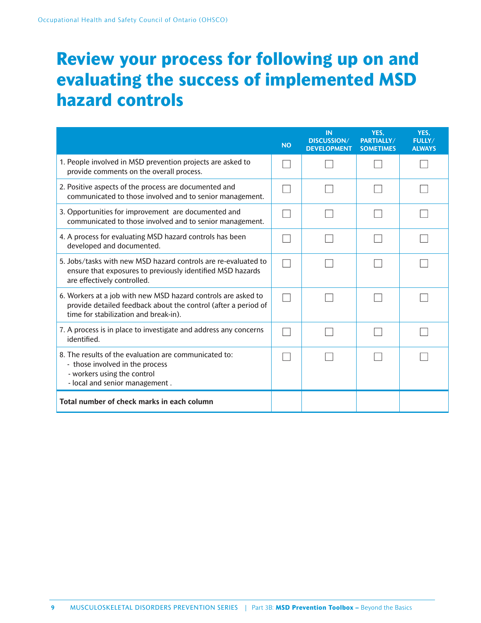# **Review your process for following up on and evaluating the success of implemented MSD hazard controls**

|                                                                                                                                                                          | <b>NO</b> | IN<br><b>DISCUSSION/</b><br><b>DEVELOPMENT</b> | YES.<br>PARTIALLY/<br><b>SOMETIMES</b> | YES.<br>FULLY/<br><b>ALWAYS</b> |
|--------------------------------------------------------------------------------------------------------------------------------------------------------------------------|-----------|------------------------------------------------|----------------------------------------|---------------------------------|
| 1. People involved in MSD prevention projects are asked to<br>provide comments on the overall process.                                                                   |           |                                                |                                        |                                 |
| 2. Positive aspects of the process are documented and<br>communicated to those involved and to senior management.                                                        |           |                                                |                                        |                                 |
| 3. Opportunities for improvement are documented and<br>communicated to those involved and to senior management.                                                          |           |                                                |                                        |                                 |
| 4. A process for evaluating MSD hazard controls has been<br>developed and documented.                                                                                    |           |                                                |                                        |                                 |
| 5. Jobs/tasks with new MSD hazard controls are re-evaluated to<br>ensure that exposures to previously identified MSD hazards<br>are effectively controlled.              |           |                                                |                                        |                                 |
| 6. Workers at a job with new MSD hazard controls are asked to<br>provide detailed feedback about the control (after a period of<br>time for stabilization and break-in). |           |                                                |                                        |                                 |
| 7. A process is in place to investigate and address any concerns<br>identified.                                                                                          |           |                                                |                                        |                                 |
| 8. The results of the evaluation are communicated to:<br>- those involved in the process<br>- workers using the control<br>- local and senior management.                |           |                                                |                                        |                                 |
| Total number of check marks in each column                                                                                                                               |           |                                                |                                        |                                 |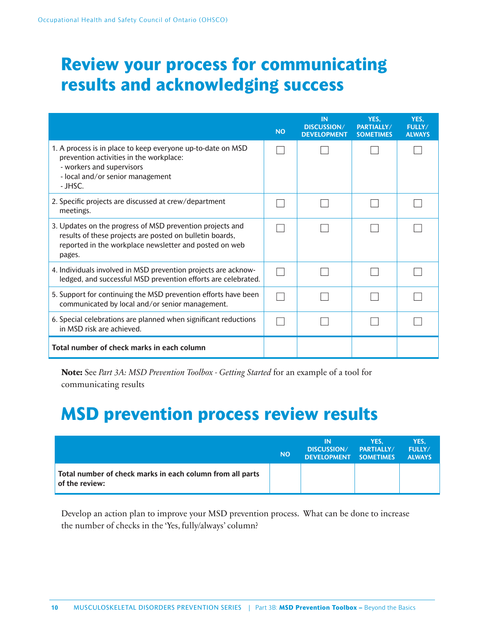# **Review your process for communicating results and acknowledging success**

|                                                                                                                                                                                           | <b>NO</b> | <b>IN</b><br><b>DISCUSSION/</b><br><b>DEVELOPMENT</b> | YES.<br>PARTIALLY/<br><b>SOMETIMES</b> | YES.<br><b>FULLY/</b><br><b>ALWAYS</b> |
|-------------------------------------------------------------------------------------------------------------------------------------------------------------------------------------------|-----------|-------------------------------------------------------|----------------------------------------|----------------------------------------|
| 1. A process is in place to keep everyone up-to-date on MSD<br>prevention activities in the workplace:<br>- workers and supervisors<br>- local and/or senior management<br>- JHSC.        |           |                                                       |                                        |                                        |
| 2. Specific projects are discussed at crew/department<br>meetings.                                                                                                                        |           |                                                       |                                        |                                        |
| 3. Updates on the progress of MSD prevention projects and<br>results of these projects are posted on bulletin boards,<br>reported in the workplace newsletter and posted on web<br>pages. |           |                                                       |                                        |                                        |
| 4. Individuals involved in MSD prevention projects are acknow-<br>ledged, and successful MSD prevention efforts are celebrated.                                                           |           |                                                       |                                        |                                        |
| 5. Support for continuing the MSD prevention efforts have been<br>communicated by local and/or senior management.                                                                         |           |                                                       |                                        |                                        |
| 6. Special celebrations are planned when significant reductions<br>in MSD risk are achieved.                                                                                              |           |                                                       |                                        |                                        |
| Total number of check marks in each column                                                                                                                                                |           |                                                       |                                        |                                        |

**Note:** See *Part 3A: MSD Prevention Toolbox - Getting Started* for an example of a tool for communicating results

# **MSD prevention process review results**

|                                                                             | <b>NO</b> | ΙN<br><b>DISCUSSION/</b><br>DEVELOPMENT SOMETIMES | YES.<br>PARTIALLY/ | YES.<br><b>FULLY/</b><br><b>ALWAYS</b> |
|-----------------------------------------------------------------------------|-----------|---------------------------------------------------|--------------------|----------------------------------------|
| Total number of check marks in each column from all parts<br>of the review: |           |                                                   |                    |                                        |

Develop an action plan to improve your MSD prevention process. What can be done to increase the number of checks in the 'Yes, fully/always' column?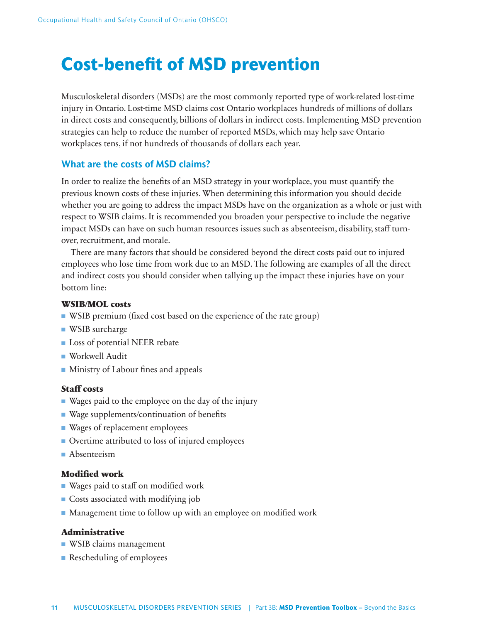# **Cost-benefit of MSD prevention**

Musculoskeletal disorders (MSDs) are the most commonly reported type of work-related lost-time injury in Ontario. Lost-time MSD claims cost Ontario workplaces hundreds of millions of dollars in direct costs and consequently, billions of dollars in indirect costs. Implementing MSD prevention strategies can help to reduce the number of reported MSDs, which may help save Ontario workplaces tens, if not hundreds of thousands of dollars each year.

### **What are the costs of MSD claims?**

In order to realize the benefits of an MSD strategy in your workplace, you must quantify the previous known costs of these injuries. When determining this information you should decide whether you are going to address the impact MSDs have on the organization as a whole or just with respect to WSIB claims. It is recommended you broaden your perspective to include the negative impact MSDs can have on such human resources issues such as absenteeism, disability, staff turnover, recruitment, and morale.

There are many factors that should be considered beyond the direct costs paid out to injured employees who lose time from work due to an MSD. The following are examples of all the direct and indirect costs you should consider when tallying up the impact these injuries have on your bottom line:

### **WSIB/MOL costs**

- WSIB premium (fixed cost based on the experience of the rate group)
- WSIB surcharge
- Loss of potential NEER rebate
- Workwell Audit
- Ministry of Labour fines and appeals

### **Staff costs**

- Wages paid to the employee on the day of the injury
- Wage supplements/continuation of benefits
- Wages of replacement employees
- Overtime attributed to loss of injured employees
- Absenteeism

### **Modified work**

- Wages paid to staff on modified work
- Costs associated with modifying job
- $\blacksquare$  Management time to follow up with an employee on modified work

### **Administrative**

- WSIB claims management
- Rescheduling of employees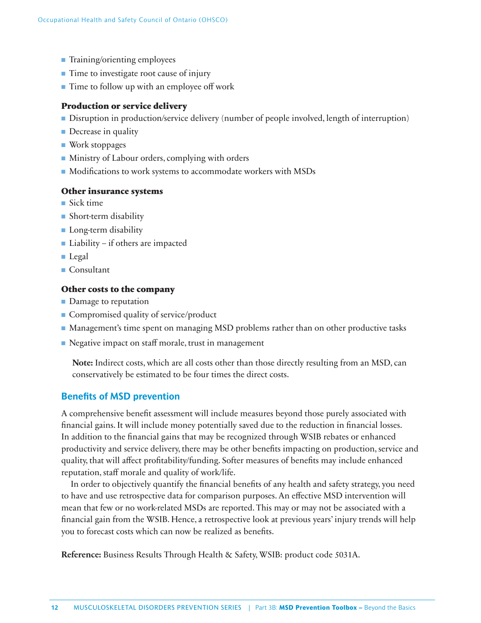- Training/orienting employees
- Time to investigate root cause of injury
- Time to follow up with an employee off work

### **Production or service delivery**

- Disruption in production/service delivery (number of people involved, length of interruption)
- Decrease in quality
- Work stoppages
- Ministry of Labour orders, complying with orders
- Modifications to work systems to accommodate workers with MSDs

### **Other insurance systems**

- Sick time
- Short-term disability
- Long-term disability
- Liability if others are impacted
- Legal
- Consultant

### **Other costs to the company**

- Damage to reputation
- Compromised quality of service/product
- Management's time spent on managing MSD problems rather than on other productive tasks
- Negative impact on staff morale, trust in management

**Note:** Indirect costs, which are all costs other than those directly resulting from an MSD, can conservatively be estimated to be four times the direct costs.

### **Benefits of MSD prevention**

A comprehensive benefit assessment will include measures beyond those purely associated with financial gains. It will include money potentially saved due to the reduction in financial losses. In addition to the financial gains that may be recognized through WSIB rebates or enhanced productivity and service delivery, there may be other benefits impacting on production, service and quality, that will affect profitability/funding. Softer measures of benefits may include enhanced reputation, staff morale and quality of work/life.

In order to objectively quantify the financial benefits of any health and safety strategy, you need to have and use retrospective data for comparison purposes. An effective MSD intervention will mean that few or no work-related MSDs are reported. This may or may not be associated with a financial gain from the WSIB. Hence, a retrospective look at previous years' injury trends will help you to forecast costs which can now be realized as benefits.

**Reference:** Business Results Through Health & Safety, WSIB: product code 5031A.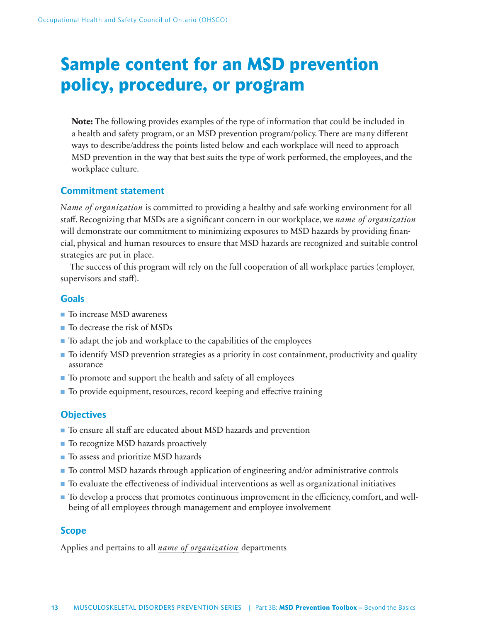# **Sample content for an MSD prevention policy, procedure, or program**

**Note:** The following provides examples of the type of information that could be included in a health and safety program, or an MSD prevention program/policy. There are many different ways to describe/address the points listed below and each workplace will need to approach MSD prevention in the way that best suits the type of work performed, the employees, and the workplace culture.

# **Commitment statement**

*Name of organization* is committed to providing a healthy and safe working environment for all staff. Recognizing that MSDs are a significant concern in our workplace, we *name of organization* will demonstrate our commitment to minimizing exposures to MSD hazards by providing financial, physical and human resources to ensure that MSD hazards are recognized and suitable control strategies are put in place.

The success of this program will rely on the full cooperation of all workplace parties (employer, supervisors and staff).

# **Goals**

- To increase MSD awareness
- To decrease the risk of MSDs
- To adapt the job and workplace to the capabilities of the employees
- To identify MSD prevention strategies as a priority in cost containment, productivity and quality assurance
- To promote and support the health and safety of all employees
- To provide equipment, resources, record keeping and effective training

# **Objectives**

- To ensure all staff are educated about MSD hazards and prevention
- To recognize MSD hazards proactively
- To assess and prioritize MSD hazards
- To control MSD hazards through application of engineering and/or administrative controls
- To evaluate the effectiveness of individual interventions as well as organizational initiatives
- To develop a process that promotes continuous improvement in the efficiency, comfort, and wellbeing of all employees through management and employee involvement

# **Scope**

Applies and pertains to all *name of organization* departments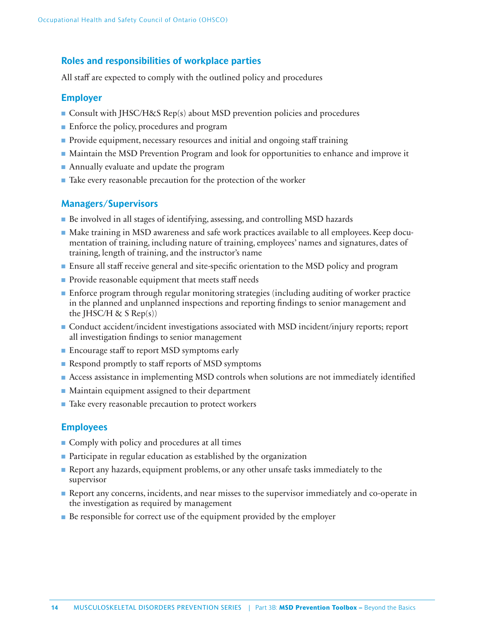### **Roles and responsibilities of workplace parties**

All staff are expected to comply with the outlined policy and procedures

### **Employer**

- Consult with JHSC/H&S Rep(s) about MSD prevention policies and procedures
- Enforce the policy, procedures and program
- Provide equipment, necessary resources and initial and ongoing staff training
- Maintain the MSD Prevention Program and look for opportunities to enhance and improve it
- Annually evaluate and update the program
- Take every reasonable precaution for the protection of the worker

# **Managers/Supervisors**

- Be involved in all stages of identifying, assessing, and controlling MSD hazards
- Make training in MSD awareness and safe work practices available to all employees. Keep documentation of training, including nature of training, employees' names and signatures, dates of training, length of training, and the instructor's name
- Ensure all staff receive general and site-specific orientation to the MSD policy and program
- Provide reasonable equipment that meets staff needs
- Enforce program through regular monitoring strategies (including auditing of worker practice in the planned and unplanned inspections and reporting findings to senior management and the JHSC/H  $\&$  S Rep(s))
- Conduct accident/incident investigations associated with MSD incident/injury reports; report all investigation findings to senior management
- Encourage staff to report MSD symptoms early
- Respond promptly to staff reports of MSD symptoms
- Access assistance in implementing MSD controls when solutions are not immediately identified
- Maintain equipment assigned to their department
- Take every reasonable precaution to protect workers

### **Employees**

- Comply with policy and procedures at all times
- Participate in regular education as established by the organization
- Report any hazards, equipment problems, or any other unsafe tasks immediately to the supervisor
- Report any concerns, incidents, and near misses to the supervisor immediately and co-operate in the investigation as required by management
- Be responsible for correct use of the equipment provided by the employer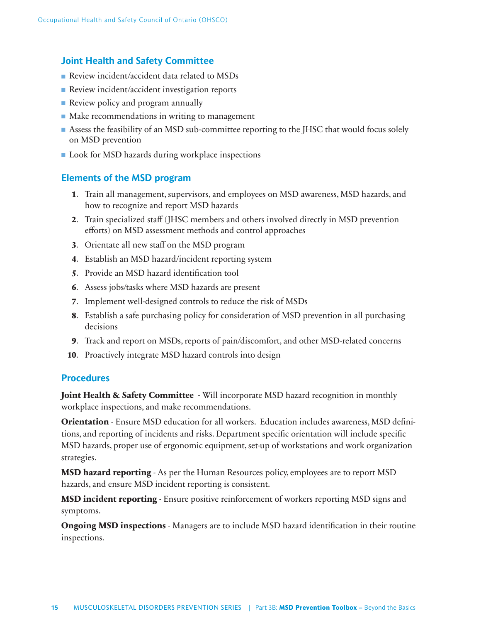# **Joint Health and Safety Committee**

- Review incident/accident data related to MSDs
- Review incident/accident investigation reports
- Review policy and program annually
- Make recommendations in writing to management
- Assess the feasibility of an MSD sub-committee reporting to the JHSC that would focus solely on MSD prevention
- Look for MSD hazards during workplace inspections

# **Elements of the MSD program**

- **1**. Train all management, supervisors, and employees on MSD awareness, MSD hazards, and how to recognize and report MSD hazards
- **2**. Train specialized staff (JHSC members and others involved directly in MSD prevention efforts) on MSD assessment methods and control approaches
- **3**. Orientate all new staff on the MSD program
- **4**. Establish an MSD hazard/incident reporting system
- **5**. Provide an MSD hazard identification tool
- **6**. Assess jobs/tasks where MSD hazards are present
- **7**. Implement well-designed controls to reduce the risk of MSDs
- **8**. Establish a safe purchasing policy for consideration of MSD prevention in all purchasing decisions
- **9**. Track and report on MSDs, reports of pain/discomfort, and other MSD-related concerns
- **10**. Proactively integrate MSD hazard controls into design

### **Procedures**

**Joint Health & Safety Committee** - Will incorporate MSD hazard recognition in monthly workplace inspections, and make recommendations.

**Orientation** - Ensure MSD education for all workers. Education includes awareness, MSD definitions, and reporting of incidents and risks. Department specific orientation will include specific MSD hazards, proper use of ergonomic equipment, set-up of workstations and work organization strategies.

**MSD hazard reporting** - As per the Human Resources policy, employees are to report MSD hazards, and ensure MSD incident reporting is consistent.

**MSD incident reporting** - Ensure positive reinforcement of workers reporting MSD signs and symptoms.

**Ongoing MSD inspections** - Managers are to include MSD hazard identification in their routine inspections.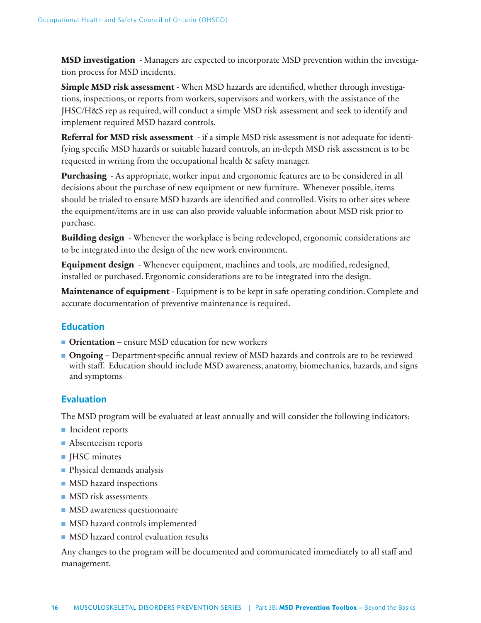**MSD investigation** - Managers are expected to incorporate MSD prevention within the investigation process for MSD incidents.

**Simple MSD risk assessment** - When MSD hazards are identified, whether through investigations, inspections, or reports from workers, supervisors and workers, with the assistance of the JHSC/H&S rep as required, will conduct a simple MSD risk assessment and seek to identify and implement required MSD hazard controls.

**Referral for MSD risk assessment** - if a simple MSD risk assessment is not adequate for identifying specific MSD hazards or suitable hazard controls, an in-depth MSD risk assessment is to be requested in writing from the occupational health & safety manager.

**Purchasing** - As appropriate, worker input and ergonomic features are to be considered in all decisions about the purchase of new equipment or new furniture. Whenever possible, items should be trialed to ensure MSD hazards are identified and controlled. Visits to other sites where the equipment/items are in use can also provide valuable information about MSD risk prior to purchase.

**Building design** - Whenever the workplace is being redeveloped, ergonomic considerations are to be integrated into the design of the new work environment.

**Equipment design** - Whenever equipment, machines and tools, are modified, redesigned, installed or purchased. Ergonomic considerations are to be integrated into the design.

**Maintenance of equipment** - Equipment is to be kept in safe operating condition. Complete and accurate documentation of preventive maintenance is required.

# **Education**

- **Orientation** ensure MSD education for new workers
- **Ongoing** Department-specific annual review of MSD hazards and controls are to be reviewed with staff. Education should include MSD awareness, anatomy, biomechanics, hazards, and signs and symptoms

# **Evaluation**

The MSD program will be evaluated at least annually and will consider the following indicators:

- Incident reports
- Absenteeism reports
- JHSC minutes
- Physical demands analysis
- MSD hazard inspections
- MSD risk assessments
- MSD awareness questionnaire
- MSD hazard controls implemented
- MSD hazard control evaluation results

Any changes to the program will be documented and communicated immediately to all staff and management.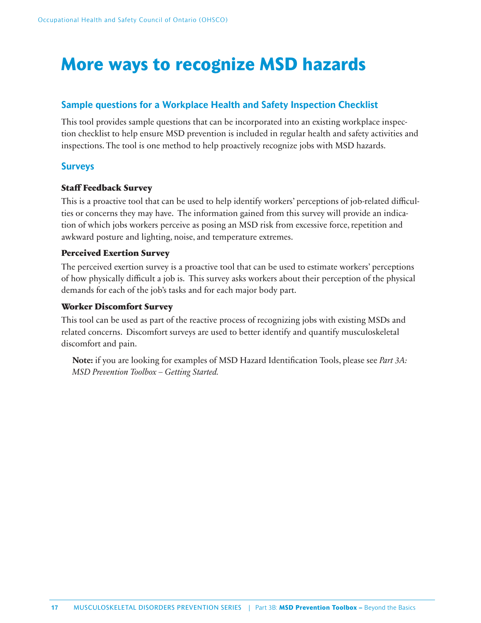# **More ways to recognize MSD hazards**

# **Sample questions for a Workplace Health and Safety Inspection Checklist**

This tool provides sample questions that can be incorporated into an existing workplace inspection checklist to help ensure MSD prevention is included in regular health and safety activities and inspections. The tool is one method to help proactively recognize jobs with MSD hazards.

### **Surveys**

### **Staff Feedback Survey**

This is a proactive tool that can be used to help identify workers' perceptions of job-related difficulties or concerns they may have. The information gained from this survey will provide an indication of which jobs workers perceive as posing an MSD risk from excessive force, repetition and awkward posture and lighting, noise, and temperature extremes.

### **Perceived Exertion Survey**

The perceived exertion survey is a proactive tool that can be used to estimate workers' perceptions of how physically difficult a job is. This survey asks workers about their perception of the physical demands for each of the job's tasks and for each major body part.

### **Worker Discomfort Survey**

This tool can be used as part of the reactive process of recognizing jobs with existing MSDs and related concerns. Discomfort surveys are used to better identify and quantify musculoskeletal discomfort and pain.

**Note:** if you are looking for examples of MSD Hazard Identification Tools, please see *Part 3A*: *MSD Prevention Toolbox – Getting Started.*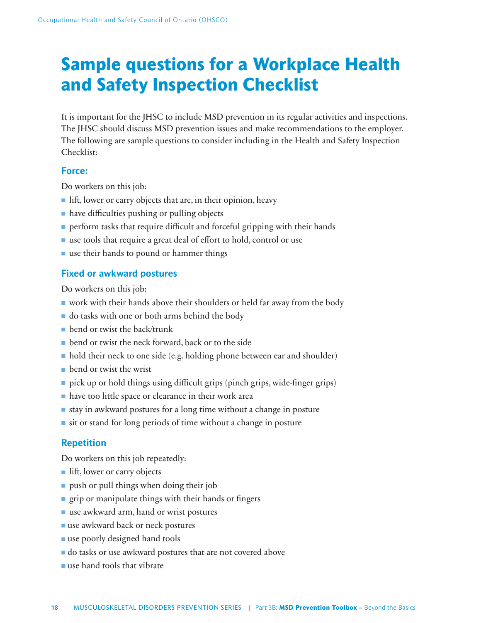# **Sample questions for a Workplace Health and Safety Inspection Checklist**

It is important for the JHSC to include MSD prevention in its regular activities and inspections. The JHSC should discuss MSD prevention issues and make recommendations to the employer. The following are sample questions to consider including in the Health and Safety Inspection Checklist:

### **Force:**

Do workers on this job:

- lift, lower or carry objects that are, in their opinion, heavy
- have difficulties pushing or pulling objects
- $\blacksquare$  perform tasks that require difficult and forceful gripping with their hands
- use tools that require a great deal of effort to hold, control or use
- use their hands to pound or hammer things

### **Fixed or awkward postures**

Do workers on this job:

- work with their hands above their shoulders or held far away from the body
- do tasks with one or both arms behind the body
- bend or twist the back/trunk
- bend or twist the neck forward, back or to the side
- hold their neck to one side (e.g. holding phone between ear and shoulder)
- bend or twist the wrist
- $\blacksquare$  pick up or hold things using difficult grips (pinch grips, wide-finger grips)
- have too little space or clearance in their work area
- stay in awkward postures for a long time without a change in posture
- sit or stand for long periods of time without a change in posture

# **Repetition**

Do workers on this job repeatedly:

- lift, lower or carry objects
- push or pull things when doing their job
- $\blacksquare$  grip or manipulate things with their hands or fingers
- use awkward arm, hand or wrist postures
- use awkward back or neck postures
- use poorly designed hand tools
- do tasks or use awkward postures that are not covered above
- use hand tools that vibrate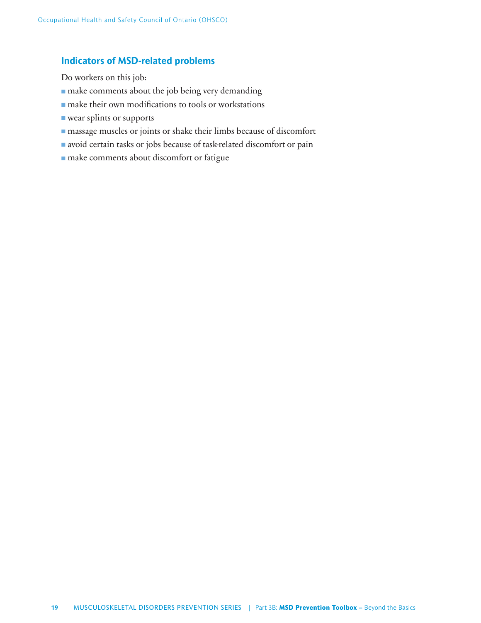### **Indicators of MSD-related problems**

Do workers on this job:

- make comments about the job being very demanding
- make their own modifications to tools or workstations
- wear splints or supports
- massage muscles or joints or shake their limbs because of discomfort
- avoid certain tasks or jobs because of task-related discomfort or pain
- make comments about discomfort or fatigue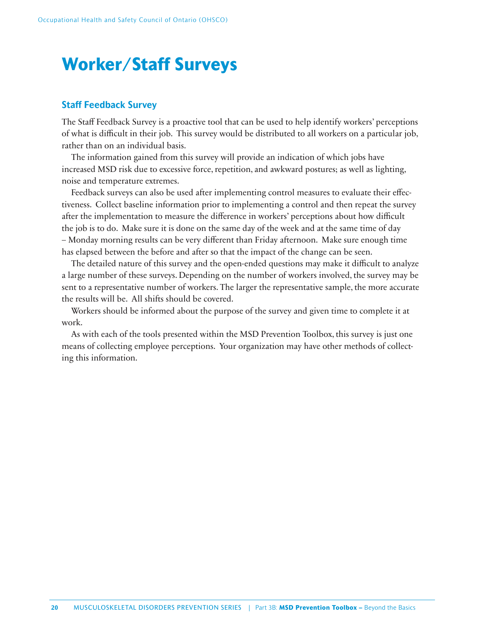# **Worker/Staff Surveys**

### **Staff Feedback Survey**

The Staff Feedback Survey is a proactive tool that can be used to help identify workers' perceptions of what is difficult in their job. This survey would be distributed to all workers on a particular job, rather than on an individual basis.

The information gained from this survey will provide an indication of which jobs have increased MSD risk due to excessive force, repetition, and awkward postures; as well as lighting, noise and temperature extremes.

Feedback surveys can also be used after implementing control measures to evaluate their effectiveness. Collect baseline information prior to implementing a control and then repeat the survey after the implementation to measure the difference in workers' perceptions about how difficult the job is to do. Make sure it is done on the same day of the week and at the same time of day – Monday morning results can be very different than Friday afternoon. Make sure enough time has elapsed between the before and after so that the impact of the change can be seen.

The detailed nature of this survey and the open-ended questions may make it difficult to analyze a large number of these surveys. Depending on the number of workers involved, the survey may be sent to a representative number of workers. The larger the representative sample, the more accurate the results will be. All shifts should be covered.

Workers should be informed about the purpose of the survey and given time to complete it at work.

As with each of the tools presented within the MSD Prevention Toolbox, this survey is just one means of collecting employee perceptions. Your organization may have other methods of collecting this information.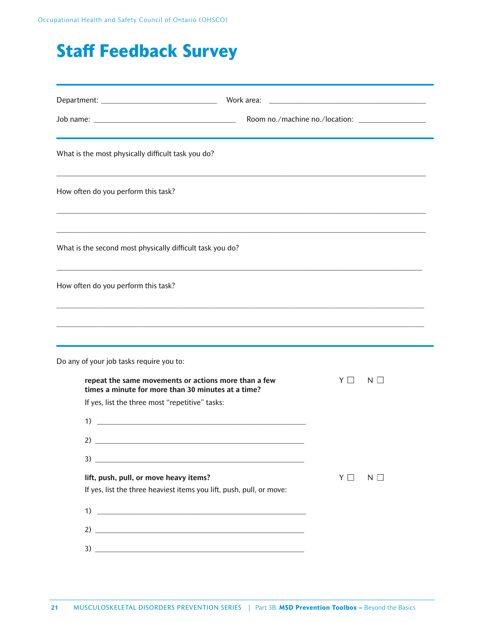# **Staff Feedback Survey**

| What is the most physically difficult task you do?                                                                                                                                                                                                                                                                                       |          |          |
|------------------------------------------------------------------------------------------------------------------------------------------------------------------------------------------------------------------------------------------------------------------------------------------------------------------------------------------|----------|----------|
| How often do you perform this task?                                                                                                                                                                                                                                                                                                      |          |          |
| What is the second most physically difficult task you do?                                                                                                                                                                                                                                                                                |          |          |
| How often do you perform this task?                                                                                                                                                                                                                                                                                                      |          |          |
|                                                                                                                                                                                                                                                                                                                                          |          |          |
| Do any of your job tasks require you to:<br>repeat the same movements or actions more than a few<br>times a minute for more than 30 minutes at a time?<br>If yes, list the three most "repetitive" tasks:<br><u> 1989 - Johann Barbara, martin amerikan basal dan berasal dalam basal dalam basal dalam basal dalam basal dala</u><br>1) | YII      | $N \Box$ |
| lift, push, pull, or move heavy items?<br>If yes, list the three heaviest items you lift, push, pull, or move:<br>$\overline{1}$ ) $\overline{1}$                                                                                                                                                                                        | $Y \Box$ | $N \Box$ |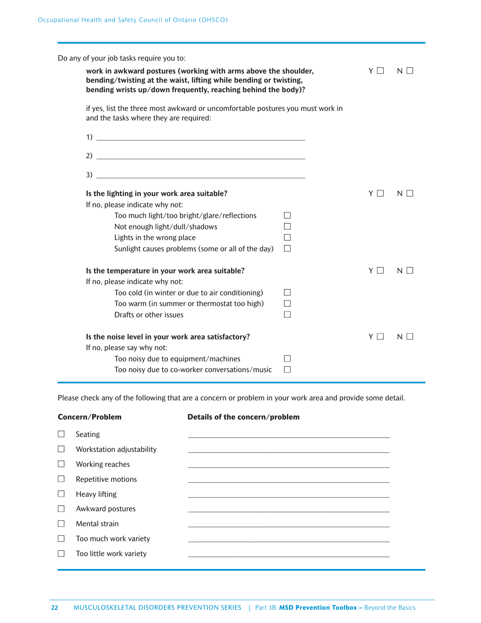| Do any of your job tasks require you to:                                                                                 |                                                                                                                                                                                                       |          |          |  |  |  |  |  |  |
|--------------------------------------------------------------------------------------------------------------------------|-------------------------------------------------------------------------------------------------------------------------------------------------------------------------------------------------------|----------|----------|--|--|--|--|--|--|
|                                                                                                                          | work in awkward postures (working with arms above the shoulder,<br>bending/twisting at the waist, lifting while bending or twisting,<br>bending wrists up/down frequently, reaching behind the body)? |          |          |  |  |  |  |  |  |
| if yes, list the three most awkward or uncomfortable postures you must work in<br>and the tasks where they are required: |                                                                                                                                                                                                       |          |          |  |  |  |  |  |  |
|                                                                                                                          |                                                                                                                                                                                                       |          |          |  |  |  |  |  |  |
|                                                                                                                          |                                                                                                                                                                                                       |          |          |  |  |  |  |  |  |
|                                                                                                                          |                                                                                                                                                                                                       |          |          |  |  |  |  |  |  |
| Is the lighting in your work area suitable?                                                                              |                                                                                                                                                                                                       | $Y \Box$ | $N \mid$ |  |  |  |  |  |  |
| If no, please indicate why not:                                                                                          |                                                                                                                                                                                                       |          |          |  |  |  |  |  |  |
| Too much light/too bright/glare/reflections                                                                              | $\mathsf{I}$                                                                                                                                                                                          |          |          |  |  |  |  |  |  |
| Not enough light/dull/shadows                                                                                            |                                                                                                                                                                                                       |          |          |  |  |  |  |  |  |
| Lights in the wrong place                                                                                                |                                                                                                                                                                                                       |          |          |  |  |  |  |  |  |
| Sunlight causes problems (some or all of the day)                                                                        | $\Box$                                                                                                                                                                                                |          |          |  |  |  |  |  |  |
| Is the temperature in your work area suitable?                                                                           |                                                                                                                                                                                                       | YII      | $N \mid$ |  |  |  |  |  |  |
| If no, please indicate why not:                                                                                          |                                                                                                                                                                                                       |          |          |  |  |  |  |  |  |
| Too cold (in winter or due to air conditioning)                                                                          | $\mathbf{I}$                                                                                                                                                                                          |          |          |  |  |  |  |  |  |
| Too warm (in summer or thermostat too high)                                                                              |                                                                                                                                                                                                       |          |          |  |  |  |  |  |  |
| Drafts or other issues                                                                                                   |                                                                                                                                                                                                       |          |          |  |  |  |  |  |  |
| Is the noise level in your work area satisfactory?                                                                       |                                                                                                                                                                                                       | YΠ       | N.       |  |  |  |  |  |  |
| If no, please say why not:                                                                                               |                                                                                                                                                                                                       |          |          |  |  |  |  |  |  |
| Too noisy due to equipment/machines                                                                                      |                                                                                                                                                                                                       |          |          |  |  |  |  |  |  |
| Too noisy due to co-worker conversations/music                                                                           |                                                                                                                                                                                                       |          |          |  |  |  |  |  |  |

Please check any of the following that are a concern or problem in your work area and provide some detail.

| Concern/Problem           | Details of the concern/problem |
|---------------------------|--------------------------------|
| Seating                   |                                |
| Workstation adjustability |                                |
| Working reaches           |                                |
| Repetitive motions        |                                |
| Heavy lifting             |                                |
| Awkward postures          |                                |
| Mental strain             |                                |
| Too much work variety     |                                |
| Too little work variety   |                                |
|                           |                                |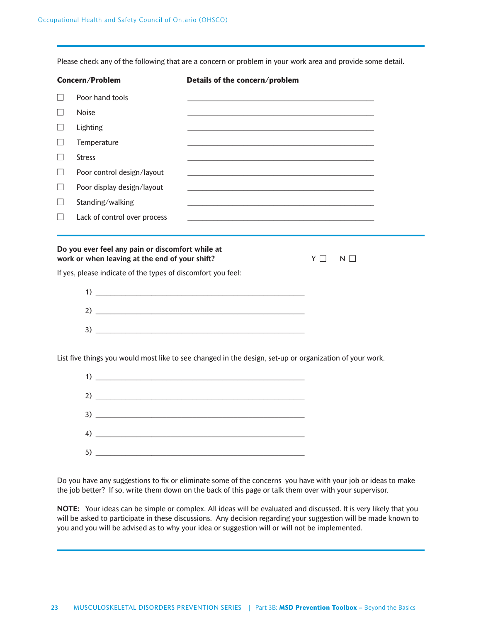Please check any of the following that are a concern or problem in your work area and provide some detail.

|                          | <b>Concern/Problem</b>                                       | Details of the concern/problem                                                                                                                                                                                                |  |
|--------------------------|--------------------------------------------------------------|-------------------------------------------------------------------------------------------------------------------------------------------------------------------------------------------------------------------------------|--|
| $\perp$                  | Poor hand tools                                              |                                                                                                                                                                                                                               |  |
| $\Box$                   | <b>Noise</b>                                                 | and the control of the control of the control of the control of the control of the control of the control of the                                                                                                              |  |
| $\vert \ \ \vert$        | Lighting                                                     |                                                                                                                                                                                                                               |  |
| $\overline{\phantom{0}}$ | Temperature                                                  |                                                                                                                                                                                                                               |  |
| $\perp$                  | <b>Stress</b>                                                | <u> 1989 - Johann Stoff, amerikansk politiker (d. 1989)</u>                                                                                                                                                                   |  |
|                          | Poor control design/layout                                   | the control of the control of the control of the control of the control of the control of the control of the control of the control of the control of the control of the control of the control of the control of the control |  |
| $\perp$                  | Poor display design/layout                                   | and the control of the control of the control of the control of the control of the control of the control of the                                                                                                              |  |
| $\perp$                  | Standing/walking                                             |                                                                                                                                                                                                                               |  |
|                          | Lack of control over process                                 | and the control of the control of the control of the control of the control of the control of the control of the                                                                                                              |  |
|                          | If yes, please indicate of the types of discomfort you feel: | $\begin{array}{c} \n 1) \end{array}$                                                                                                                                                                                          |  |
|                          |                                                              |                                                                                                                                                                                                                               |  |
|                          |                                                              |                                                                                                                                                                                                                               |  |
|                          |                                                              | List five things you would most like to see changed in the design, set-up or organization of your work.                                                                                                                       |  |
|                          |                                                              | $\overline{1}$ ) $\overline{1}$                                                                                                                                                                                               |  |
|                          |                                                              | 2) $\overline{\phantom{a}}$                                                                                                                                                                                                   |  |
|                          |                                                              |                                                                                                                                                                                                                               |  |

5) \_\_\_\_\_\_\_\_\_\_\_\_\_\_\_\_\_\_\_\_\_\_\_\_\_\_\_\_\_\_\_\_\_\_\_\_\_\_\_\_\_\_\_\_\_\_\_\_\_\_\_\_\_\_\_\_

 $4)$ 

Do you have any suggestions to fix or eliminate some of the concerns you have with your job or ideas to make the job better? If so, write them down on the back of this page or talk them over with your supervisor.

**NOTE:** Your ideas can be simple or complex. All ideas will be evaluated and discussed. It is very likely that you will be asked to participate in these discussions. Any decision regarding your suggestion will be made known to you and you will be advised as to why your idea or suggestion will or will not be implemented.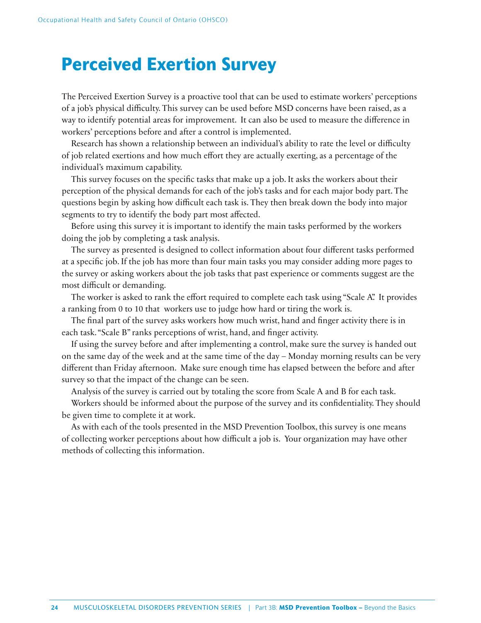# **Perceived Exertion Survey**

The Perceived Exertion Survey is a proactive tool that can be used to estimate workers' perceptions of a job's physical difficulty. This survey can be used before MSD concerns have been raised, as a way to identify potential areas for improvement. It can also be used to measure the difference in workers' perceptions before and after a control is implemented.

Research has shown a relationship between an individual's ability to rate the level or difficulty of job related exertions and how much effort they are actually exerting, as a percentage of the individual's maximum capability.

This survey focuses on the specific tasks that make up a job. It asks the workers about their perception of the physical demands for each of the job's tasks and for each major body part. The questions begin by asking how difficult each task is. They then break down the body into major segments to try to identify the body part most affected.

Before using this survey it is important to identify the main tasks performed by the workers doing the job by completing a task analysis.

The survey as presented is designed to collect information about four different tasks performed at a specific job. If the job has more than four main tasks you may consider adding more pages to the survey or asking workers about the job tasks that past experience or comments suggest are the most difficult or demanding.

The worker is asked to rank the effort required to complete each task using "Scale A". It provides a ranking from 0 to 10 that workers use to judge how hard or tiring the work is.

The final part of the survey asks workers how much wrist, hand and finger activity there is in each task. "Scale B" ranks perceptions of wrist, hand, and finger activity.

If using the survey before and after implementing a control, make sure the survey is handed out on the same day of the week and at the same time of the day – Monday morning results can be very different than Friday afternoon. Make sure enough time has elapsed between the before and after survey so that the impact of the change can be seen.

Analysis of the survey is carried out by totaling the score from Scale A and B for each task.

Workers should be informed about the purpose of the survey and its confidentiality. They should be given time to complete it at work.

As with each of the tools presented in the MSD Prevention Toolbox, this survey is one means of collecting worker perceptions about how difficult a job is. Your organization may have other methods of collecting this information.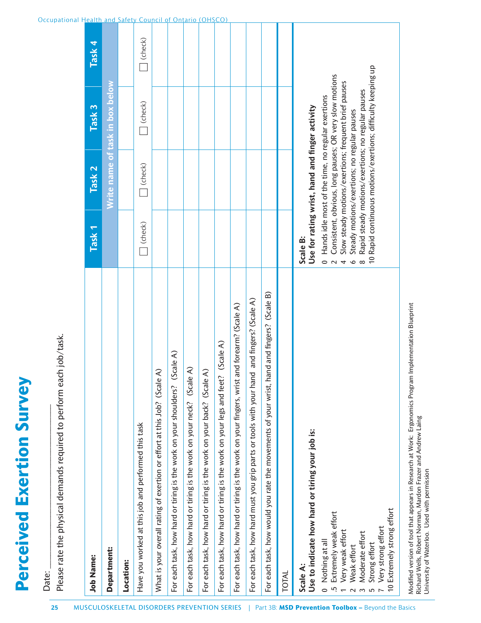| <b>Job Name:</b>                                                                                                                                                                                                       | Task <sub>1</sub>                          | Task <sub>2</sub>                                 | Task <sub>3</sub>                                                                                                 | Task 4  |
|------------------------------------------------------------------------------------------------------------------------------------------------------------------------------------------------------------------------|--------------------------------------------|---------------------------------------------------|-------------------------------------------------------------------------------------------------------------------|---------|
| Department:                                                                                                                                                                                                            |                                            |                                                   | Write name of task in box below                                                                                   |         |
| Location:                                                                                                                                                                                                              |                                            |                                                   |                                                                                                                   |         |
| Have you worked at this job and performed this task                                                                                                                                                                    | $\Box$ (check)                             | (check)                                           | $ $ (check)                                                                                                       | (check) |
| ⋜<br>What is your overall rating of exertion or effort at this Job? (Scale                                                                                                                                             |                                            |                                                   |                                                                                                                   |         |
| Scale A)<br>For each task, how hard or tiring is the work on your shoulders?                                                                                                                                           |                                            |                                                   |                                                                                                                   |         |
| $\widehat{\mathcal{L}}$<br>For each task, how hard or tiring is the work on your neck? (Scale                                                                                                                          |                                            |                                                   |                                                                                                                   |         |
| ₹<br>For each task, how hard or tiring is the work on your back? (Scale                                                                                                                                                |                                            |                                                   |                                                                                                                   |         |
| (Scale A)<br>For each task, how hard or tiring is the work on your legs and feet?                                                                                                                                      |                                            |                                                   |                                                                                                                   |         |
| and forearm? (Scale A)<br>For each task, how hard or tiring is the work on your fingers, wrist                                                                                                                         |                                            |                                                   |                                                                                                                   |         |
| For each task, how hard must you grip parts or tools with your hand and fingers? (Scale A)                                                                                                                             |                                            |                                                   |                                                                                                                   |         |
| For each task, how would you rate the movements of your wrist, hand and fingers? (Scale B)                                                                                                                             |                                            |                                                   |                                                                                                                   |         |
| TOTAL                                                                                                                                                                                                                  |                                            |                                                   |                                                                                                                   |         |
| Use to indicate how hard or tiring your job is:<br>Scale A:                                                                                                                                                            | Scale B:                                   | Use for rating wrist, hand and finger activity    |                                                                                                                   |         |
| Extremely weak effort<br>Very weak effort<br>Nothing at all<br>$\overline{\phantom{0}}$<br><u>ري</u>                                                                                                                   | $\overline{\phantom{0}}$<br>$\overline{a}$ | Hands idle most of the time, no regular exertions | Consistent, obvious, long pauses; OR very slow motions<br>Slow steady motions/exertions; frequent brief pauses    |         |
| Weak effort                                                                                                                                                                                                            | $\bullet$                                  | Steady motions/exertions; no regular pauses       |                                                                                                                   |         |
| Moderate effort<br>Strong effort<br>$\sim$<br>S                                                                                                                                                                        |                                            |                                                   | 10 Rapid continuous motions/exertions; difficulty keeping up<br>Rapid steady motions/exertions; no regular pauses |         |
| Extremely strong effort<br>Very strong effort                                                                                                                                                                          |                                            |                                                   |                                                                                                                   |         |
| Modified version of tool that appears in Research at Work: Ergonomics Program Implementation Blueprint<br>Richard Wells, Robert Norman, Mardon Frazer and Andrew Laing<br>University of Waterloo. Used with permission |                                            |                                                   |                                                                                                                   |         |

### Occupational Health and Safety Council of Ontario (OHSCO)

**Perceived Exertion Survey**

**Perceived Exertion Survey** 

Date:

Date:

Please rate the physical demands required to perform each job/task.

Please rate the physical demands required to perform each job/task.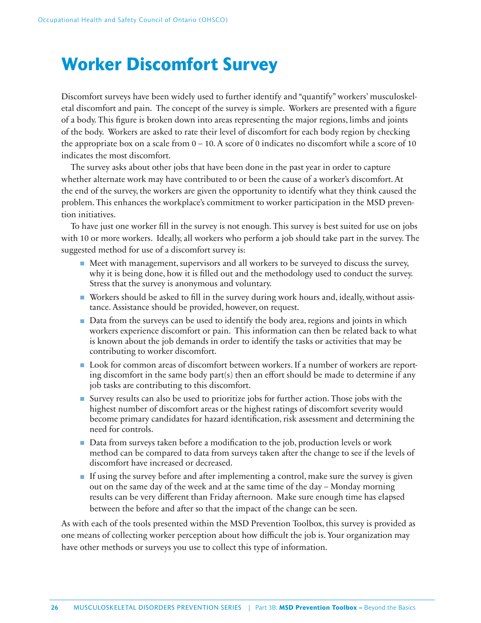# **Worker Discomfort Survey**

Discomfort surveys have been widely used to further identify and "quantify" workers' musculoskeletal discomfort and pain. The concept of the survey is simple. Workers are presented with a figure of a body. This figure is broken down into areas representing the major regions, limbs and joints of the body. Workers are asked to rate their level of discomfort for each body region by checking the appropriate box on a scale from  $0 - 10$ . A score of 0 indicates no discomfort while a score of 10 indicates the most discomfort.

The survey asks about other jobs that have been done in the past year in order to capture whether alternate work may have contributed to or been the cause of a worker's discomfort. At the end of the survey, the workers are given the opportunity to identify what they think caused the problem. This enhances the workplace's commitment to worker participation in the MSD prevention initiatives.

To have just one worker fill in the survey is not enough. This survey is best suited for use on jobs with 10 or more workers. Ideally, all workers who perform a job should take part in the survey. The suggested method for use of a discomfort survey is:

- Meet with management, supervisors and all workers to be surveyed to discuss the survey, why it is being done, how it is filled out and the methodology used to conduct the survey. Stress that the survey is anonymous and voluntary.
- Workers should be asked to fill in the survey during work hours and, ideally, without assistance. Assistance should be provided, however, on request.
- Data from the surveys can be used to identify the body area, regions and joints in which workers experience discomfort or pain. This information can then be related back to what is known about the job demands in order to identify the tasks or activities that may be contributing to worker discomfort.
- Look for common areas of discomfort between workers. If a number of workers are reporting discomfort in the same body part(s) then an effort should be made to determine if any job tasks are contributing to this discomfort.
- Survey results can also be used to prioritize jobs for further action. Those jobs with the highest number of discomfort areas or the highest ratings of discomfort severity would become primary candidates for hazard identification, risk assessment and determining the need for controls.
- Data from surveys taken before a modification to the job, production levels or work method can be compared to data from surveys taken after the change to see if the levels of discomfort have increased or decreased.
- If using the survey before and after implementing a control, make sure the survey is given out on the same day of the week and at the same time of the day – Monday morning results can be very different than Friday afternoon. Make sure enough time has elapsed between the before and after so that the impact of the change can be seen.

As with each of the tools presented within the MSD Prevention Toolbox, this survey is provided as one means of collecting worker perception about how difficult the job is. Your organization may have other methods or surveys you use to collect this type of information.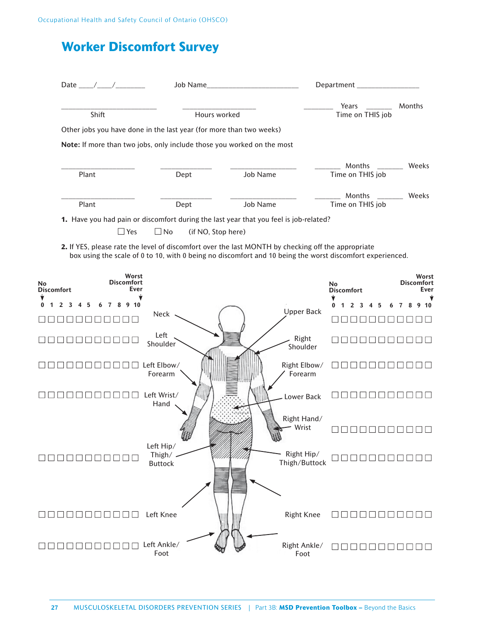# **Worker Discomfort Survey**

|                   | Date $/$ /                                                                                                       |                        | Job Name                                                                                                    |                 |                         | Department_                                                                                               |                                          |
|-------------------|------------------------------------------------------------------------------------------------------------------|------------------------|-------------------------------------------------------------------------------------------------------------|-----------------|-------------------------|-----------------------------------------------------------------------------------------------------------|------------------------------------------|
|                   |                                                                                                                  |                        |                                                                                                             |                 |                         | Years                                                                                                     | Months                                   |
|                   | Shift                                                                                                            |                        | Hours worked                                                                                                |                 |                         | Time on THIS job                                                                                          |                                          |
|                   | Other jobs you have done in the last year (for more than two weeks)                                              |                        |                                                                                                             |                 |                         |                                                                                                           |                                          |
|                   | Note: If more than two jobs, only include those you worked on the most                                           |                        |                                                                                                             |                 |                         |                                                                                                           |                                          |
|                   |                                                                                                                  |                        |                                                                                                             |                 |                         | Months                                                                                                    | Weeks                                    |
| Plant             |                                                                                                                  | Dept                   |                                                                                                             | <b>Job Name</b> |                         | Time on THIS job                                                                                          |                                          |
|                   |                                                                                                                  |                        |                                                                                                             |                 |                         | Months                                                                                                    | Weeks                                    |
| Plant             |                                                                                                                  | Dept                   |                                                                                                             | <b>Job Name</b> |                         | Time on THIS job                                                                                          |                                          |
|                   | $\Box$ Yes<br>2. If YES, please rate the level of discomfort over the last MONTH by checking off the appropriate | $\Box$ No              | 1. Have you had pain or discomfort during the last year that you feel is job-related?<br>(if NO, Stop here) |                 |                         | box using the scale of 0 to 10, with 0 being no discomfort and 10 being the worst discomfort experienced. |                                          |
| <b>Discomfort</b> | Worst<br><b>Discomfort</b><br><b>Ever</b>                                                                        |                        |                                                                                                             |                 |                         | <b>No</b><br><b>Discomfort</b>                                                                            |                                          |
|                   | 10                                                                                                               |                        |                                                                                                             |                 |                         |                                                                                                           | Worst<br><b>Discomfort</b><br>Ever<br>10 |
|                   |                                                                                                                  | Neck                   |                                                                                                             |                 | <b>Upper Back</b>       |                                                                                                           |                                          |
|                   |                                                                                                                  | Left<br>Shoulder       |                                                                                                             |                 | Right<br>Shoulder       |                                                                                                           |                                          |
|                   |                                                                                                                  | Left Elbow/<br>Forearm |                                                                                                             |                 | Right Elbow/<br>Forearm |                                                                                                           |                                          |

Left Hip/ Thigh/ Buttock Left Knee ■ ■ ■ ■ ■ ■ ■ ■ ■ ■ ■ Left Ankle/ ■ ■ ■ ■ ■ ■ ■ ■ ■ ■ ■ Foot Right Hand/ Wrist Right Hip/ Thigh/Buttock Right Knee Right Ankle/ Foot  $\Box$ ■ ■ ■ ■ ■ ■ ■ ■ ■ ■ ■ ■ ■ ■ ■ ■ ■ ■ ■ ■ ■ ■ ■ ■ ■ ■ ■ ■ ■ ■ ■ ■ ■ ■ ■ ■ ■ ■ ■ ■ ■ ■ ■ ■ ■ ■ ■ ■ ■ ■ ■ ■ ■ ■ ■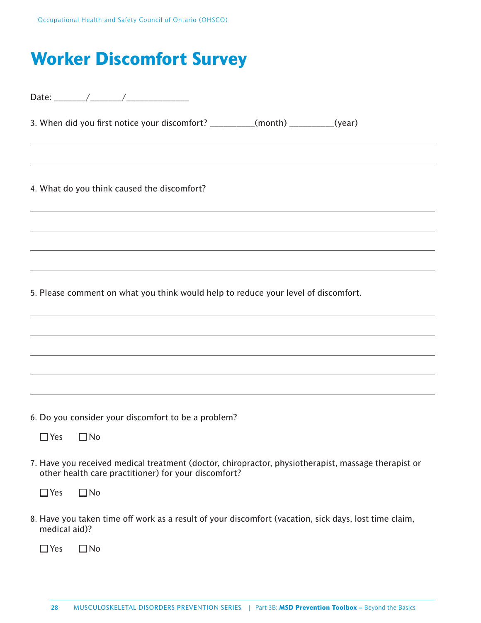# **Worker Discomfort Survey**

|               | 3. When did you first notice your discomfort? __________(month) _________(year)                                                                             |
|---------------|-------------------------------------------------------------------------------------------------------------------------------------------------------------|
|               |                                                                                                                                                             |
|               | 4. What do you think caused the discomfort?                                                                                                                 |
|               |                                                                                                                                                             |
|               |                                                                                                                                                             |
|               |                                                                                                                                                             |
|               | 5. Please comment on what you think would help to reduce your level of discomfort.                                                                          |
|               |                                                                                                                                                             |
|               |                                                                                                                                                             |
|               |                                                                                                                                                             |
|               |                                                                                                                                                             |
|               | 6. Do you consider your discomfort to be a problem?                                                                                                         |
|               | $\Box$ Yes $\Box$ No                                                                                                                                        |
|               | 7. Have you received medical treatment (doctor, chiropractor, physiotherapist, massage therapist or<br>other health care practitioner) for your discomfort? |
| $\Box$ Yes    | $\Box$ No                                                                                                                                                   |
| medical aid)? | 8. Have you taken time off work as a result of your discomfort (vacation, sick days, lost time claim,                                                       |
| $\square$ Yes | $\Box$ No                                                                                                                                                   |

 $\overline{\phantom{0}}$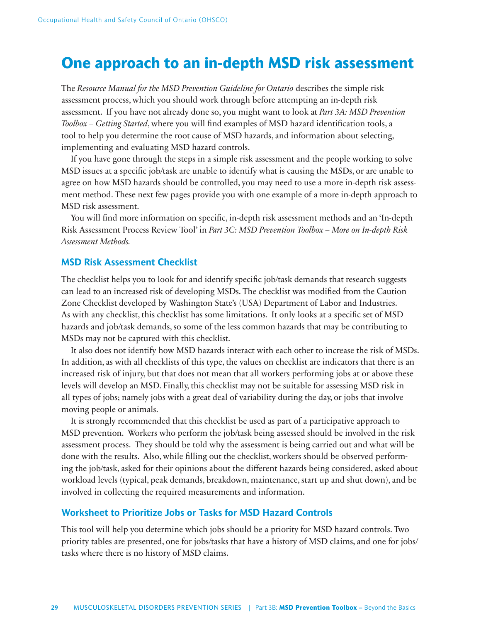# **One approach to an in-depth MSD risk assessment**

The *Resource Manual for the MSD Prevention Guideline for Ontario* describes the simple risk assessment process, which you should work through before attempting an in-depth risk assessment. If you have not already done so, you might want to look at *Part 3A: MSD Prevention Toolbox – Getting Started*, where you will find examples of MSD hazard identification tools, a tool to help you determine the root cause of MSD hazards, and information about selecting, implementing and evaluating MSD hazard controls.

If you have gone through the steps in a simple risk assessment and the people working to solve MSD issues at a specifi c job/task are unable to identify what is causing the MSDs, or are unable to agree on how MSD hazards should be controlled, you may need to use a more in-depth risk assessment method. These next few pages provide you with one example of a more in-depth approach to MSD risk assessment.

You will find more information on specific, in-depth risk assessment methods and an 'In-depth Risk Assessment Process Review Tool' in *Part 3C: MSD Prevention Toolbox – More on In-depth Risk Assessment Methods.*

### **MSD Risk Assessment Checklist**

The checklist helps you to look for and identify specific job/task demands that research suggests can lead to an increased risk of developing MSDs. The checklist was modified from the Caution Zone Checklist developed by Washington State's (USA) Department of Labor and Industries. As with any checklist, this checklist has some limitations. It only looks at a specific set of MSD hazards and job/task demands, so some of the less common hazards that may be contributing to MSDs may not be captured with this checklist.

It also does not identify how MSD hazards interact with each other to increase the risk of MSDs. In addition, as with all checklists of this type, the values on checklist are indicators that there is an increased risk of injury, but that does not mean that all workers performing jobs at or above these levels will develop an MSD. Finally, this checklist may not be suitable for assessing MSD risk in all types of jobs; namely jobs with a great deal of variability during the day, or jobs that involve moving people or animals.

It is strongly recommended that this checklist be used as part of a participative approach to MSD prevention. Workers who perform the job/task being assessed should be involved in the risk assessment process. They should be told why the assessment is being carried out and what will be done with the results. Also, while filling out the checklist, workers should be observed performing the job/task, asked for their opinions about the different hazards being considered, asked about workload levels (typical, peak demands, breakdown, maintenance, start up and shut down), and be involved in collecting the required measurements and information.

### **Worksheet to Prioritize Jobs or Tasks for MSD Hazard Controls**

This tool will help you determine which jobs should be a priority for MSD hazard controls. Two priority tables are presented, one for jobs/tasks that have a history of MSD claims, and one for jobs/ tasks where there is no history of MSD claims.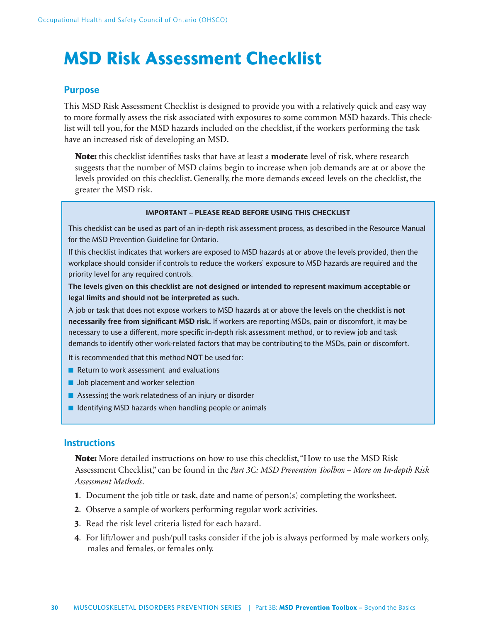# **MSD Risk Assessment Checklist**

# **Purpose**

This MSD Risk Assessment Checklist is designed to provide you with a relatively quick and easy way to more formally assess the risk associated with exposures to some common MSD hazards. This checklist will tell you, for the MSD hazards included on the checklist, if the workers performing the task have an increased risk of developing an MSD.

**Note:** this checklist identifies tasks that have at least a **moderate** level of risk, where research suggests that the number of MSD claims begin to increase when job demands are at or above the levels provided on this checklist. Generally, the more demands exceed levels on the checklist, the greater the MSD risk.

### **IMPORTANT – PLEASE READ BEFORE USING THIS CHECKLIST**

This checklist can be used as part of an in-depth risk assessment process, as described in the Resource Manual for the MSD Prevention Guideline for Ontario.

If this checklist indicates that workers are exposed to MSD hazards at or above the levels provided, then the workplace should consider if controls to reduce the workers' exposure to MSD hazards are required and the priority level for any required controls.

**The levels given on this checklist are not designed or intended to represent maximum acceptable or legal limits and should not be interpreted as such.**

A job or task that does not expose workers to MSD hazards at or above the levels on the checklist is **not necessarily free from significant MSD risk.** If workers are reporting MSDs, pain or discomfort, it may be necessary to use a different, more specific in-depth risk assessment method, or to review job and task demands to identify other work-related factors that may be contributing to the MSDs, pain or discomfort.

It is recommended that this method **NOT** be used for:

- Return to work assessment and evaluations
- Job placement and worker selection
- Assessing the work relatedness of an injury or disorder
- Identifying MSD hazards when handling people or animals

### **Instructions**

**Note:** More detailed instructions on how to use this checklist, "How to use the MSD Risk Assessment Checklist," can be found in the *Part 3C: MSD Prevention Toolbox – More on In-depth Risk Assessment Methods*.

- **1**. Document the job title or task, date and name of person(s) completing the worksheet.
- **2**. Observe a sample of workers performing regular work activities.
- **3**. Read the risk level criteria listed for each hazard.
- **4**. For lift/lower and push/pull tasks consider if the job is always performed by male workers only, males and females, or females only.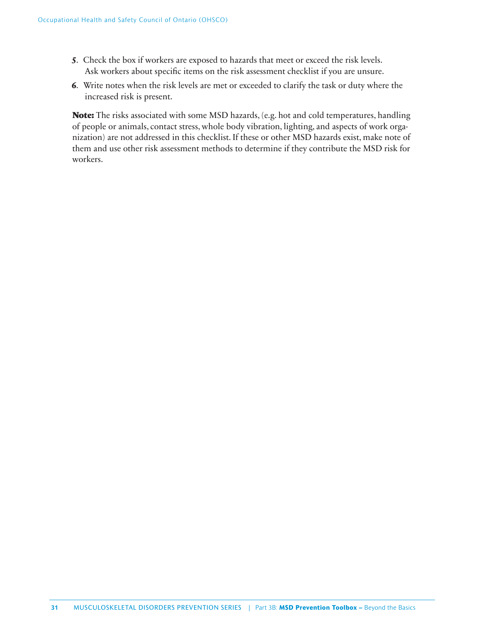- **5**. Check the box if workers are exposed to hazards that meet or exceed the risk levels. Ask workers about specific items on the risk assessment checklist if you are unsure.
- **6**. Write notes when the risk levels are met or exceeded to clarify the task or duty where the increased risk is present.

**Note:** The risks associated with some MSD hazards, (e.g. hot and cold temperatures, handling of people or animals, contact stress, whole body vibration, lighting, and aspects of work organization) are not addressed in this checklist. If these or other MSD hazards exist, make note of them and use other risk assessment methods to determine if they contribute the MSD risk for workers.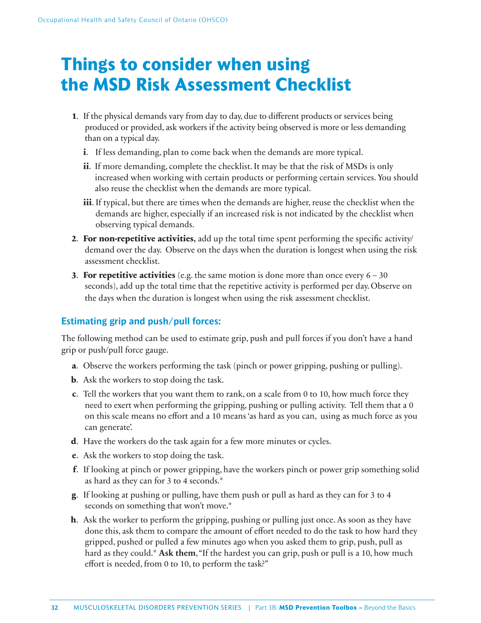# **Things to consider when using the MSD Risk Assessment Checklist**

- **1.** If the physical demands vary from day to day, due to different products or services being produced or provided, ask workers if the activity being observed is more or less demanding than on a typical day.
	- **i**. If less demanding, plan to come back when the demands are more typical.
	- **ii**. If more demanding, complete the checklist. It may be that the risk of MSDs is only increased when working with certain products or performing certain services. You should also reuse the checklist when the demands are more typical.
	- **iii**. If typical, but there are times when the demands are higher, reuse the checklist when the demands are higher, especially if an increased risk is not indicated by the checklist when observing typical demands.
- **2. For non-repetitive activities**, add up the total time spent performing the specific activity/ demand over the day. Observe on the days when the duration is longest when using the risk assessment checklist.
- **3**. **For repetitive activities** (e.g. the same motion is done more than once every 6 30 seconds), add up the total time that the repetitive activity is performed per day. Observe on the days when the duration is longest when using the risk assessment checklist.

# **Estimating grip and push/pull forces:**

The following method can be used to estimate grip, push and pull forces if you don't have a hand grip or push/pull force gauge.

- **a**. Observe the workers performing the task (pinch or power gripping, pushing or pulling).
- **b**. Ask the workers to stop doing the task.
- **c**. Tell the workers that you want them to rank, on a scale from 0 to 10, how much force they need to exert when performing the gripping, pushing or pulling activity. Tell them that a 0 on this scale means no effort and a 10 means 'as hard as you can, using as much force as you can generate'.
- **d**. Have the workers do the task again for a few more minutes or cycles.
- **e**. Ask the workers to stop doing the task.
- **f**. If looking at pinch or power gripping, have the workers pinch or power grip something solid as hard as they can for 3 to 4 seconds.\*
- **g**. If looking at pushing or pulling, have them push or pull as hard as they can for 3 to 4 seconds on something that won't move.\*
- **h**. Ask the worker to perform the gripping, pushing or pulling just once. As soon as they have done this, ask them to compare the amount of effort needed to do the task to how hard they gripped, pushed or pulled a few minutes ago when you asked them to grip, push, pull as hard as they could.\* **Ask them**, "If the hardest you can grip, push or pull is a 10, how much effort is needed, from 0 to 10, to perform the task?"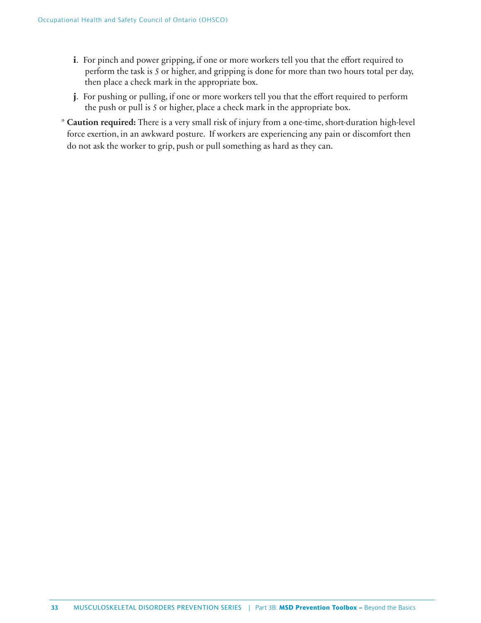- **i**. For pinch and power gripping, if one or more workers tell you that the effort required to perform the task is 5 or higher, and gripping is done for more than two hours total per day, then place a check mark in the appropriate box.
- **j**. For pushing or pulling, if one or more workers tell you that the effort required to perform the push or pull is 5 or higher, place a check mark in the appropriate box.
- \* **Caution required:** There is a very small risk of injury from a one-time, short-duration high-level force exertion, in an awkward posture. If workers are experiencing any pain or discomfort then do not ask the worker to grip, push or pull something as hard as they can.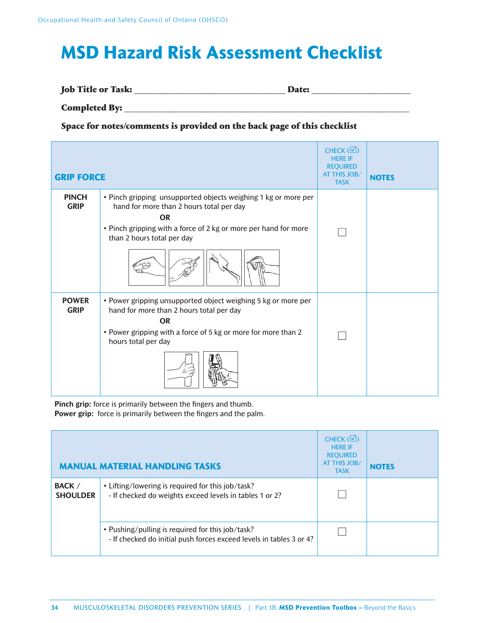# **MSD Hazard Risk Assessment Checklist**

**Job Title or Task:** \_\_\_\_\_\_\_\_\_\_\_\_\_\_\_\_\_\_\_\_\_\_\_\_\_\_\_\_\_\_\_\_\_\_\_ **Date:** \_\_\_\_\_\_\_\_\_\_\_\_\_\_\_\_\_\_\_\_\_\_\_

**Completed By:** \_\_\_\_\_\_\_\_\_\_\_\_\_\_\_\_\_\_\_\_\_\_\_\_\_\_\_\_\_\_\_\_\_\_\_\_\_\_\_\_\_\_\_\_\_\_\_\_\_\_\_\_\_\_\_\_\_\_\_\_\_\_\_\_\_\_

**Space for notes/comments is provided on the back page of this checklist**

| <b>GRIP FORCE</b>           |                                                                                                                                                                                                                          | CHECK $(\nabla)$<br><b>HERE IF</b><br><b>REQUIRED</b><br><b>AT THIS JOB/</b><br><b>TASK</b> | <b>NOTES</b> |
|-----------------------------|--------------------------------------------------------------------------------------------------------------------------------------------------------------------------------------------------------------------------|---------------------------------------------------------------------------------------------|--------------|
| <b>PINCH</b><br><b>GRIP</b> | • Pinch gripping unsupported objects weighing 1 kg or more per<br>hand for more than 2 hours total per day<br><b>OR</b><br>• Pinch gripping with a force of 2 kg or more per hand for more<br>than 2 hours total per day |                                                                                             |              |
| <b>POWER</b><br><b>GRIP</b> | • Power gripping unsupported object weighing 5 kg or more per<br>hand for more than 2 hours total per day<br><b>OR</b><br>• Power gripping with a force of 5 kg or more for more than 2<br>hours total per day           |                                                                                             |              |

**Pinch grip:** force is primarily between the fingers and thumb. Power grip: force is primarily between the fingers and the palm.

|                                  | <b>MANUAL MATERIAL HANDLING TASKS</b>                                                                                   | CHECK $(\Box)$<br><b>HERE IF</b><br><b>REQUIRED</b><br><b>AT THIS JOB/</b><br><b>TASK</b> | <b>NOTES</b> |
|----------------------------------|-------------------------------------------------------------------------------------------------------------------------|-------------------------------------------------------------------------------------------|--------------|
| <b>BACK /</b><br><b>SHOULDER</b> | • Lifting/lowering is required for this job/task?<br>- If checked do weights exceed levels in tables 1 or 2?            |                                                                                           |              |
|                                  | • Pushing/pulling is required for this job/task?<br>- If checked do initial push forces exceed levels in tables 3 or 4? |                                                                                           |              |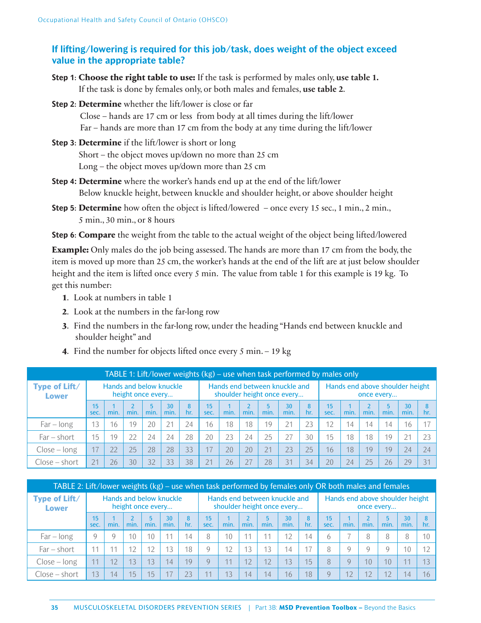# **If lifting/lowering is required for this job/task, does weight of the object exceed value in the appropriate table?**

- **Step 1**: **Choose the right table to use:** If the task is performed by males only, **use table 1.** If the task is done by females only, or both males and females, **use table 2**.
- **Step 2**: **Determine** whether the lift/lower is close or far

 Close – hands are 17 cm or less from body at all times during the lift/lower Far – hands are more than 17 cm from the body at any time during the lift/lower

**Step 3**: **Determine** if the lift/lower is short or long

Short – the object moves up/down no more than 25 cm

Long – the object moves up/down more than 25 cm

- **Step 4: Determine** where the worker's hands end up at the end of the lift/lower Below knuckle height, between knuckle and shoulder height, or above shoulder height
- **Step 5: Determine** how often the object is lifted/lowered once every 15 sec., 1 min., 2 min., 5 min., 30 min., or 8 hours
- **Step 6**: **Compare** the weight from the table to the actual weight of the object being lifted/lowered

**Example:** Only males do the job being assessed. The hands are more than 17 cm from the body, the item is moved up more than 25 cm, the worker's hands at the end of the lift are at just below shoulder height and the item is lifted once every 5 min. The value from table 1 for this example is 19 kg. To get this number:

- **1**. Look at numbers in table 1
- **2**. Look at the numbers in the far-long row
- **3**. Find the numbers in the far-long row, under the heading "Hands end between knuckle and shoulder height" and
- **4**. Find the number for objects lifted once every 5 min. 19 kg

|                               | TABLE 1: Lift/lower weights (kg) – use when task performed by males only |                         |                   |      |            |     |                                                             |      |      |           |            |          |                                               |      |      |      |            |     |
|-------------------------------|--------------------------------------------------------------------------|-------------------------|-------------------|------|------------|-----|-------------------------------------------------------------|------|------|-----------|------------|----------|-----------------------------------------------|------|------|------|------------|-----|
| Type of Lift/<br><b>Lower</b> |                                                                          | Hands and below knuckle | height once every |      |            |     | Hands end between knuckle and<br>shoulder height once every |      |      |           |            |          | Hands end above shoulder height<br>once every |      |      |      |            |     |
|                               | 15<br>sec.                                                               | min.                    | min.              | min. | 30<br>min. | hr. | 15<br>sec.                                                  | min. | min. | 5<br>min. | 30<br>min. | 8<br>hr. | 15 <sub>15</sub><br>sec.                      | min. | min. | min. | 30<br>min. | hr. |
| $Far - long$                  | 13                                                                       | 16                      | 19                | 20   | 21         | 24  | $6 \overline{6}$                                            | 18   | 18   | 19        | 21         | 23       | 12                                            | 14   | 14   | 14   | 16         |     |
| $Far - short$                 | 15                                                                       | 19                      | 22                | 24   | 24         | 28  | 20                                                          | 23   | 24   | 25        |            | 30       | 15                                            | 18   | 18   | 19   | 21         | 23  |
| $Close - long$                | 17                                                                       | 22                      | 25                | 28   | 28         | 33  |                                                             | 20   | 20   | 21        | 23         | 25       | 16                                            | 18   | 19   | 19   | 24         | 24  |
| $Close - short$               | 21                                                                       | 26                      | 30                | 32   | 33         | 38  |                                                             | 26   | 27   | 28        | 31         | 34       | 20                                            | 24   | 25   | 26   | 29         | 31  |

| TABLE 2: Lift/lower weights (kg) – use when task performed by females only OR both males and females |                                              |          |                 |                 |                         |          |                          |                                                             |      |      |            |          |                         |      |                                               |      |            |          |  |
|------------------------------------------------------------------------------------------------------|----------------------------------------------|----------|-----------------|-----------------|-------------------------|----------|--------------------------|-------------------------------------------------------------|------|------|------------|----------|-------------------------|------|-----------------------------------------------|------|------------|----------|--|
| Type of Lift/<br><b>Lower</b>                                                                        | Hands and below knuckle<br>height once every |          |                 |                 |                         |          |                          | Hands end between knuckle and<br>shoulder height once every |      |      |            |          |                         |      | Hands end above shoulder height<br>once every |      |            |          |  |
|                                                                                                      | 15<br>sec.                                   | min.     | min.            | 5<br>min.       | 30 <sup>°</sup><br>min. | 8<br>hr. | 15 <sub>15</sub><br>sec. | min.                                                        | min. | min. | 30<br>min. | 8<br>hr. | 15 <sup>1</sup><br>sec. | min. | min.                                          | min. | 30<br>min. | 8<br>hr. |  |
| $Far - long$                                                                                         | Q                                            | $\Omega$ | 10              | 10              | 11                      | 14       | 8                        | 10                                                          |      | 11   | 12         | 14       | h                       |      | 8                                             | 8    | 8          | 10       |  |
| $Far - short$                                                                                        |                                              |          | 12              | 12              | 13                      | 18       | Q                        | 12                                                          | 13   | 13   | 14         |          |                         |      | $\mathsf{Q}$                                  | Q    | 10         |          |  |
| $Close - long$                                                                                       | 11                                           | 12       | 13              | 13              | 14                      | 19       | Q                        | 11                                                          | 12   | 12   | 13         | 15       | 8                       |      | 10                                            | 10   | 11         |          |  |
| $Close - short$                                                                                      | 13                                           | 14       | 15 <sup>°</sup> | 15 <sub>1</sub> |                         |          |                          | 13                                                          | 14   | 14   | 16         | 18       | Q                       |      | 12                                            | 12   | 14         | 6        |  |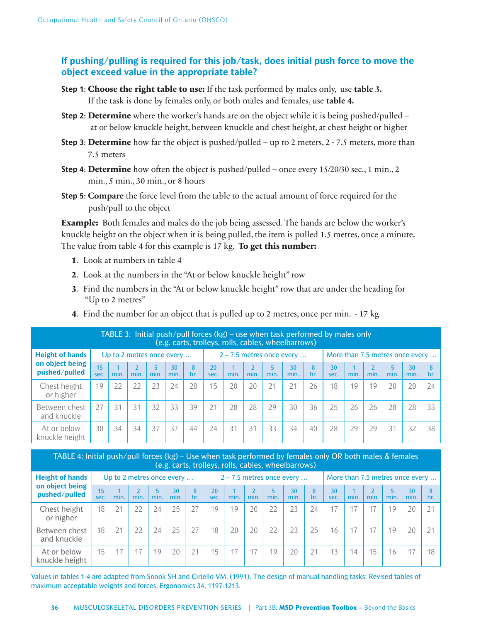# **If pushing/pulling is required for this job/task, does initial push force to move the object exceed value in the appropriate table?**

- **Step 1**: **Choose the right table to use:** If the task performed by males only, use **table 3.**  If the task is done by females only, or both males and females, use **table 4.**
- **Step 2**: **Determine** where the worker's hands are on the object while it is being pushed/pulled at or below knuckle height, between knuckle and chest height, at chest height or higher
- **Step 3: Determine** how far the object is pushed/pulled up to 2 meters, 2 7.5 meters, more than 7.5 meters
- **Step 4**: **Determine** how often the object is pushed/pulled once every 15/20/30 sec., 1 min., 2 min., 5 min., 30 min., or 8 hours
- **Step 5**: **Compare** the force level from the table to the actual amount of force required for the push/pull to the object

**Example:** Both females and males do the job being assessed. The hands are below the worker's knuckle height on the object when it is being pulled, the item is pulled 1.5 metres, once a minute. The value from table 4 for this example is 17 kg. **To get this number:**

- **1**. Look at numbers in table 4
- **2**. Look at the numbers in the "At or below knuckle height" row
- **3**. Find the numbers in the "At or below knuckle height" row that are under the heading for "Up to 2 metres"
- **4**. Find the number for an object that is pulled up to 2 metres, once per min. 17 kg

| TABLE 3: Initial push/pull forces $(kg)$ – use when task performed by males only<br>(e.g. carts, trolleys, rolls, cables, wheelbarrows) |                           |      |      |                        |            |          |            |                             |      |           |            |          |            |                                 |      |           |            |          |  |
|-----------------------------------------------------------------------------------------------------------------------------------------|---------------------------|------|------|------------------------|------------|----------|------------|-----------------------------|------|-----------|------------|----------|------------|---------------------------------|------|-----------|------------|----------|--|
| <b>Height of hands</b>                                                                                                                  | Up to 2 metres once every |      |      |                        |            |          |            | $2 - 7.5$ metres once every |      |           |            |          |            | More than 7.5 metres once every |      |           |            |          |  |
| on object being<br>pushed/pulled                                                                                                        | 15<br>sec.                | min. | min. | $\overline{5}$<br>min. | 30<br>min. | 8<br>hr. | 20<br>sec. | min.                        | min. | 5<br>min. | 30<br>min. | 8<br>hr. | 30<br>sec. | min.                            | min. | 5<br>min. | 30<br>min. | 8<br>hr. |  |
| Chest height<br>or higher                                                                                                               | 19                        | 22   | 22   | 23                     | 24         | 28       | 15         | 20                          | 20   | 21        | 21         | 26       | 18         | 19                              | 19   | 20        | 20         | 24       |  |
| Between chest<br>and knuckle                                                                                                            | 27                        | 31   | 31   | 32                     | 33         | 39       | 21         | 28                          | 28   | 29        | 30         | 36       | 25         | 26                              | 26   | 28        | 28         | 33       |  |
| At or below<br>knuckle height                                                                                                           | 30                        | 34   | 34   | 37                     | 37         | 44       | 24         | 31                          | 31   | 33        | 34         | 40       | 28         | 29                              | 29   | 31        | 32         | 38       |  |

| TABLE 4: Initial push/pull forces (kg) – Use when task performed by females only OR both males & females ( |  |
|------------------------------------------------------------------------------------------------------------|--|
| (e.g. carts, trolleys, rolls, cables, wheelbarrows)                                                        |  |

| <b>Height of hands</b>           | Up to 2 metres once every |      |      |      | $2 - 7.5$ metres once every |          |            |      | More than 7.5 metres once every |           |            |          |            |      |      |      |            |     |
|----------------------------------|---------------------------|------|------|------|-----------------------------|----------|------------|------|---------------------------------|-----------|------------|----------|------------|------|------|------|------------|-----|
| on object being<br>pushed/pulled | 15<br>sec.                | min. | min. | min. | 30<br>min.                  | 8<br>hr. | 20<br>sec. | min. | min.                            | 5<br>min. | 30<br>min. | 8<br>hr. | 30<br>sec. | min. | min. | min. | 30<br>min. | hr. |
| Chest height<br>or higher        | 18                        | 21   | 22   | 24   | 25                          | 27       | 19         | 19   | 20                              | 22        | 23         | 24       |            |      | 17   | 19   | 20         | 21  |
| Between chest<br>and knuckle     | 18                        | 21   | 22   | 24   | 25                          | 27       | 18         | 20   | 20                              | 22        | 23         | 25       | 16         |      | 17   | 19   | 20         | 21  |
| At or below<br>knuckle height    | 15                        | 17   |      | 19   | 20                          | 21       | 15         |      | 17                              | 19        | 20         | 21       | 13         | 14   | 15   | 16   |            | 18  |

Values in tables 1-4 are adapted from Snook SH and Ciriello VM, (1991), The design of manual handling tasks: Revised tables of maximum acceptable weights and forces, Ergonomics 34, 1197-1213.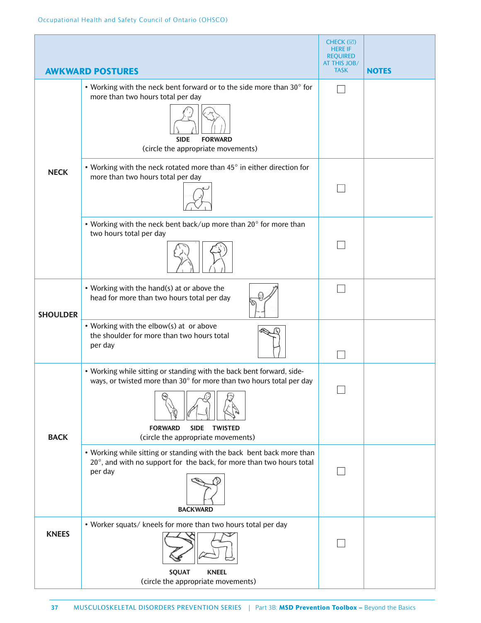|                 |                                                                                                                                                                                                                                        | CHECK (☑)<br><b>HERE IF</b><br><b>REQUIRED</b><br>AT THIS JOB/ |              |
|-----------------|----------------------------------------------------------------------------------------------------------------------------------------------------------------------------------------------------------------------------------------|----------------------------------------------------------------|--------------|
|                 | <b>AWKWARD POSTURES</b>                                                                                                                                                                                                                | <b>TASK</b>                                                    | <b>NOTES</b> |
|                 | • Working with the neck bent forward or to the side more than 30° for<br>more than two hours total per day<br><b>SIDE</b><br><b>FORWARD</b><br>(circle the appropriate movements)                                                      |                                                                |              |
| <b>NECK</b>     | • Working with the neck rotated more than 45° in either direction for<br>more than two hours total per day                                                                                                                             |                                                                |              |
|                 | • Working with the neck bent back/up more than 20° for more than<br>two hours total per day                                                                                                                                            |                                                                |              |
| <b>SHOULDER</b> | • Working with the hand(s) at or above the<br>head for more than two hours total per day                                                                                                                                               |                                                                |              |
|                 | • Working with the elbow(s) at or above<br>the shoulder for more than two hours total<br>per day                                                                                                                                       |                                                                |              |
| <b>BACK</b>     | • Working while sitting or standing with the back bent forward, side-<br>ways, or twisted more than 30° for more than two hours total per day<br><b>FORWARD</b><br><b>SIDE</b><br><b>TWISTED</b><br>(circle the appropriate movements) |                                                                |              |
|                 | • Working while sitting or standing with the back bent back more than<br>20°, and with no support for the back, for more than two hours total<br>per day<br><b>BACKWARD</b>                                                            |                                                                |              |
| <b>KNEES</b>    | • Worker squats/ kneels for more than two hours total per day<br><b>SQUAT</b><br><b>KNEEL</b>                                                                                                                                          |                                                                |              |
|                 | (circle the appropriate movements)                                                                                                                                                                                                     |                                                                |              |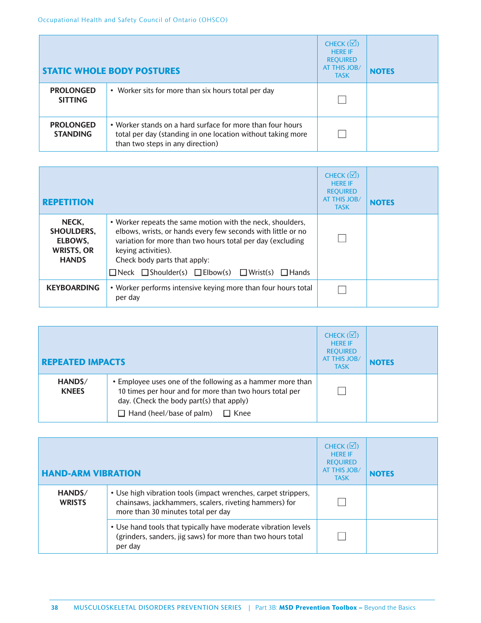|                                     | <b>STATIC WHOLE BODY POSTURES</b>                                                                                                                             | CHECK $(\overline{\vee})$<br><b>HERE IF</b><br><b>REOUIRED</b><br>AT THIS JOB/<br><b>TASK</b> | <b>NOTES</b> |
|-------------------------------------|---------------------------------------------------------------------------------------------------------------------------------------------------------------|-----------------------------------------------------------------------------------------------|--------------|
| <b>PROLONGED</b><br><b>SITTING</b>  | • Worker sits for more than six hours total per day                                                                                                           |                                                                                               |              |
| <b>PROLONGED</b><br><b>STANDING</b> | • Worker stands on a hard surface for more than four hours<br>total per day (standing in one location without taking more<br>than two steps in any direction) |                                                                                               |              |

| <b>REPETITION</b>                                                          |                                                                                                                                                                                                                                                                                                                                | CHECK $(\Box)$<br><b>HERE IF</b><br><b>REQUIRED</b><br><b>AT THIS JOB/</b><br><b>TASK</b> | <b>NOTES</b> |
|----------------------------------------------------------------------------|--------------------------------------------------------------------------------------------------------------------------------------------------------------------------------------------------------------------------------------------------------------------------------------------------------------------------------|-------------------------------------------------------------------------------------------|--------------|
| NECK.<br><b>SHOULDERS,</b><br>ELBOWS.<br><b>WRISTS, OR</b><br><b>HANDS</b> | • Worker repeats the same motion with the neck, shoulders,<br>elbows, wrists, or hands every few seconds with little or no<br>variation for more than two hours total per day (excluding<br>keying activities).<br>Check body parts that apply:<br>$\Box$ Neck $\Box$ Shoulder(s) $\Box$ Elbow(s) $\Box$ Wrist(s) $\Box$ Hands |                                                                                           |              |
| <b>KEYBOARDING</b>                                                         | • Worker performs intensive keying more than four hours total<br>per day                                                                                                                                                                                                                                                       |                                                                                           |              |

| <b>REPEATED IMPACTS</b> |                                                                                                                                                                                                                     | CHECK $(\overline{\vee})$<br><b>HERE IF</b><br><b>REQUIRED</b><br><b>AT THIS JOB/</b><br><b>TASK</b> | <b>NOTES</b> |
|-------------------------|---------------------------------------------------------------------------------------------------------------------------------------------------------------------------------------------------------------------|------------------------------------------------------------------------------------------------------|--------------|
| HANDS/<br><b>KNEES</b>  | • Employee uses one of the following as a hammer more than<br>10 times per hour and for more than two hours total per<br>day. (Check the body part(s) that apply)<br>$\Box$ Hand (heel/base of palm)<br>$\Box$ Knee |                                                                                                      |              |

| <b>HAND-ARM VIBRATION</b> |                                                                                                                                                                | CHECK $(\Box)$<br><b>HFRF IF</b><br><b>REQUIRED</b><br>AT THIS JOB/<br><b>TASK</b> | <b>NOTES</b> |
|---------------------------|----------------------------------------------------------------------------------------------------------------------------------------------------------------|------------------------------------------------------------------------------------|--------------|
| HANDS/<br><b>WRISTS</b>   | • Use high vibration tools (impact wrenches, carpet strippers,<br>chainsaws, jackhammers, scalers, riveting hammers) for<br>more than 30 minutes total per day |                                                                                    |              |
|                           | • Use hand tools that typically have moderate vibration levels<br>(grinders, sanders, jig saws) for more than two hours total<br>per day                       |                                                                                    |              |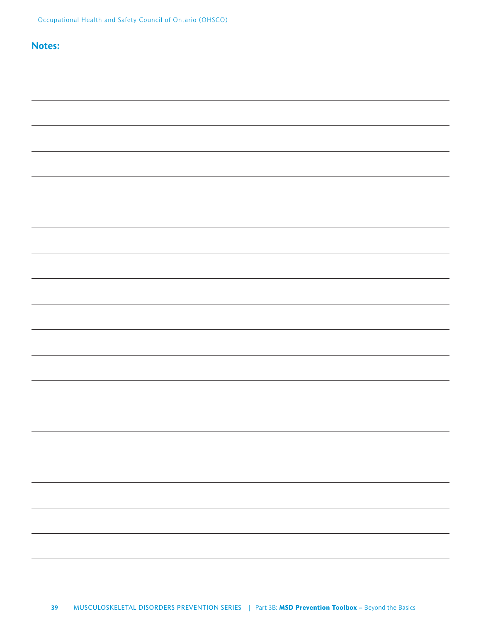# **Notes:**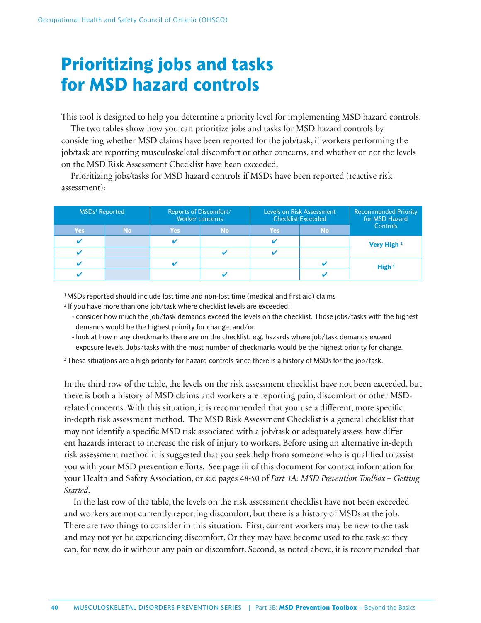# **Prioritizing jobs and tasks for MSD hazard controls**

This tool is designed to help you determine a priority level for implementing MSD hazard controls.

The two tables show how you can prioritize jobs and tasks for MSD hazard controls by considering whether MSD claims have been reported for the job/task, if workers performing the job/task are reporting musculoskeletal discomfort or other concerns, and whether or not the levels on the MSD Risk Assessment Checklist have been exceeded.

Prioritizing jobs/tasks for MSD hazard controls if MSDs have been reported (reactive risk assessment):

| MSDs <sup>1</sup> Reported |           | Reports of Discomfort/ | <b>Worker concerns</b> |            | <b>Levels on Risk Assessment</b><br><b>Checklist Exceeded</b> | <b>Recommended Priority</b><br>for MSD Hazard<br><b>Controls</b> |  |
|----------------------------|-----------|------------------------|------------------------|------------|---------------------------------------------------------------|------------------------------------------------------------------|--|
| <b>Yes</b>                 | <b>No</b> | <b>Yes</b>             | No.                    | <b>Yes</b> | <b>No</b>                                                     |                                                                  |  |
|                            |           |                        |                        |            |                                                               | Very High 2                                                      |  |
|                            |           |                        | 64                     |            |                                                               |                                                                  |  |
|                            |           |                        |                        |            |                                                               | High <sup>3</sup>                                                |  |
|                            |           |                        |                        |            |                                                               |                                                                  |  |

<sup>1</sup> MSDs reported should include lost time and non-lost time (medical and first aid) claims

- 2 If you have more than one job/task where checklist levels are exceeded:
	- consider how much the job/task demands exceed the levels on the checklist. Those jobs/tasks with the highest demands would be the highest priority for change, and/or
	- look at how many checkmarks there are on the checklist, e.g. hazards where job/task demands exceed exposure levels. Jobs/tasks with the most number of checkmarks would be the highest priority for change.

<sup>3</sup> These situations are a high priority for hazard controls since there is a history of MSDs for the job/task.

In the third row of the table, the levels on the risk assessment checklist have not been exceeded, but there is both a history of MSD claims and workers are reporting pain, discomfort or other MSDrelated concerns. With this situation, it is recommended that you use a different, more specific in-depth risk assessment method. The MSD Risk Assessment Checklist is a general checklist that may not identify a specific MSD risk associated with a job/task or adequately assess how different hazards interact to increase the risk of injury to workers. Before using an alternative in-depth risk assessment method it is suggested that you seek help from someone who is qualified to assist you with your MSD prevention efforts. See page iii of this document for contact information for your Health and Safety Association, or see pages 48-50 of *Part 3A: MSD Prevention Toolbox – Getting Started*.

In the last row of the table, the levels on the risk assessment checklist have not been exceeded and workers are not currently reporting discomfort, but there is a history of MSDs at the job. There are two things to consider in this situation. First, current workers may be new to the task and may not yet be experiencing discomfort. Or they may have become used to the task so they can, for now, do it without any pain or discomfort. Second, as noted above, it is recommended that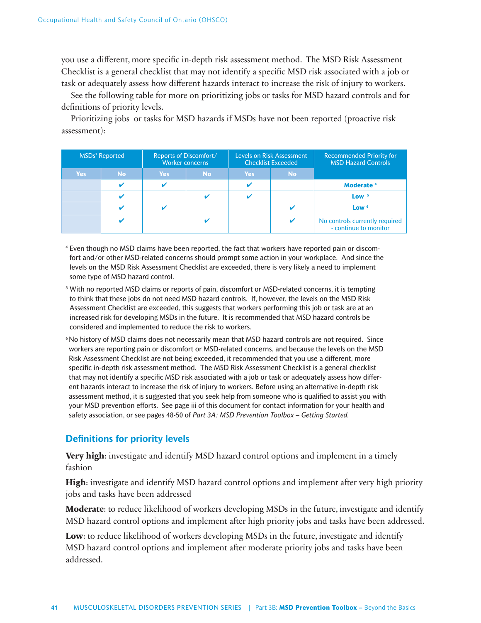you use a different, more specific in-depth risk assessment method. The MSD Risk Assessment Checklist is a general checklist that may not identify a specific MSD risk associated with a job or task or adequately assess how different hazards interact to increase the risk of injury to workers.

See the following table for more on prioritizing jobs or tasks for MSD hazard controls and for definitions of priority levels.

Prioritizing jobs or tasks for MSD hazards if MSDs have not been reported (proactive risk assessment):

| <b>MSDs<sup>1</sup></b> Reported |                         | <b>Reports of Discomfort/</b> | <b>Worker concerns</b> |            | Levels on Risk Assessment<br><b>Checklist Exceeded</b> | <b>Recommended Priority for</b><br><b>MSD Hazard Controls</b> |
|----------------------------------|-------------------------|-------------------------------|------------------------|------------|--------------------------------------------------------|---------------------------------------------------------------|
| <b>Yes</b>                       | <b>No</b>               | <b>Yes</b>                    | <b>No</b>              | <b>Yes</b> | <b>No</b>                                              |                                                               |
|                                  | $\overline{\mathbf{v}}$ |                               |                        |            |                                                        | Moderate <sup>4</sup>                                         |
|                                  | ø                       |                               |                        |            |                                                        | Low <sup>5</sup>                                              |
|                                  | $\overline{\mathbf{v}}$ |                               |                        |            |                                                        | Low <sup>6</sup>                                              |
|                                  | $\overline{\mathbf{v}}$ |                               |                        |            |                                                        | No controls currently required<br>- continue to monitor       |

4 Even though no MSD claims have been reported, the fact that workers have reported pain or discomfort and/or other MSD-related concerns should prompt some action in your workplace. And since the levels on the MSD Risk Assessment Checklist are exceeded, there is very likely a need to implement some type of MSD hazard control.

- 5 With no reported MSD claims or reports of pain, discomfort or MSD-related concerns, it is tempting to think that these jobs do not need MSD hazard controls. If, however, the levels on the MSD Risk Assessment Checklist are exceeded, this suggests that workers performing this job or task are at an increased risk for developing MSDs in the future. It is recommended that MSD hazard controls be considered and implemented to reduce the risk to workers.
- 6 No history of MSD claims does not necessarily mean that MSD hazard controls are not required. Since workers are reporting pain or discomfort or MSD-related concerns, and because the levels on the MSD Risk Assessment Checklist are not being exceeded, it recommended that you use a different, more specific in-depth risk assessment method. The MSD Risk Assessment Checklist is a general checklist that may not identify a specific MSD risk associated with a job or task or adequately assess how different hazards interact to increase the risk of injury to workers. Before using an alternative in-depth risk assessment method, it is suggested that you seek help from someone who is qualified to assist you with your MSD prevention efforts. See page iii of this document for contact information for your health and safety association, or see pages 48-50 of *Part 3A: MSD Prevention Toolbox – Getting Started.*

# **Definitions for priority levels**

**Very high**: investigate and identify MSD hazard control options and implement in a timely fashion

**High**: investigate and identify MSD hazard control options and implement after very high priority jobs and tasks have been addressed

**Moderate**: to reduce likelihood of workers developing MSDs in the future, investigate and identify MSD hazard control options and implement after high priority jobs and tasks have been addressed.

Low: to reduce likelihood of workers developing MSDs in the future, investigate and identify MSD hazard control options and implement after moderate priority jobs and tasks have been addressed.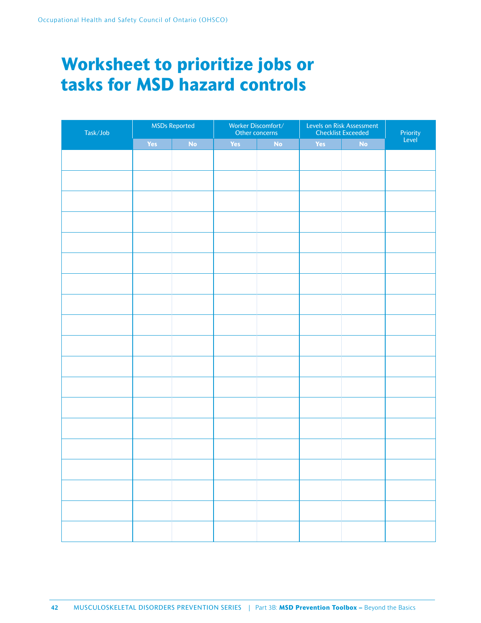# **Worksheet to prioritize jobs or tasks for MSD hazard controls**

| Task/Job |     | <b>MSDs Reported</b> |            | Worker Discomfort/<br>Other concerns | Levels on Risk Assessment<br>Checklist Exceeded | Priority<br>Level |  |
|----------|-----|----------------------|------------|--------------------------------------|-------------------------------------------------|-------------------|--|
|          | Yes | No                   | <b>Yes</b> | No                                   | Yes                                             | No                |  |
|          |     |                      |            |                                      |                                                 |                   |  |
|          |     |                      |            |                                      |                                                 |                   |  |
|          |     |                      |            |                                      |                                                 |                   |  |
|          |     |                      |            |                                      |                                                 |                   |  |
|          |     |                      |            |                                      |                                                 |                   |  |
|          |     |                      |            |                                      |                                                 |                   |  |
|          |     |                      |            |                                      |                                                 |                   |  |
|          |     |                      |            |                                      |                                                 |                   |  |
|          |     |                      |            |                                      |                                                 |                   |  |
|          |     |                      |            |                                      |                                                 |                   |  |
|          |     |                      |            |                                      |                                                 |                   |  |
|          |     |                      |            |                                      |                                                 |                   |  |
|          |     |                      |            |                                      |                                                 |                   |  |
|          |     |                      |            |                                      |                                                 |                   |  |
|          |     |                      |            |                                      |                                                 |                   |  |
|          |     |                      |            |                                      |                                                 |                   |  |
|          |     |                      |            |                                      |                                                 |                   |  |
|          |     |                      |            |                                      |                                                 |                   |  |
|          |     |                      |            |                                      |                                                 |                   |  |
|          |     |                      |            |                                      |                                                 |                   |  |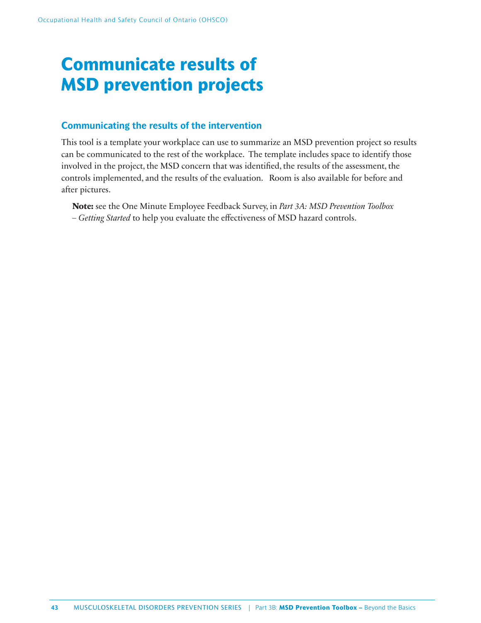# **Communicate results of MSD prevention projects**

# **Communicating the results of the intervention**

This tool is a template your workplace can use to summarize an MSD prevention project so results can be communicated to the rest of the workplace. The template includes space to identify those involved in the project, the MSD concern that was identified, the results of the assessment, the controls implemented, and the results of the evaluation. Room is also available for before and after pictures.

**Note:** see the One Minute Employee Feedback Survey, in *Part 3A: MSD Prevention Toolbox*  - Getting Started to help you evaluate the effectiveness of MSD hazard controls.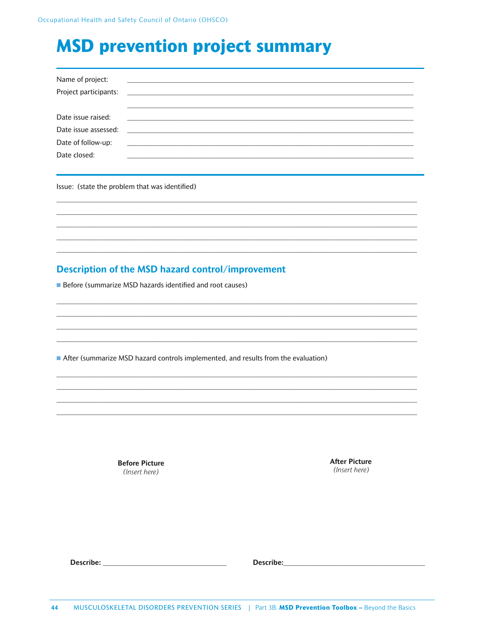# **MSD prevention project summary**

| Name of project:      | <u> Alexandria de la contrada de la contrada de la contrada de la contrada de la contrada de la contrada de la c</u> |
|-----------------------|----------------------------------------------------------------------------------------------------------------------|
| Project participants: | <u> 1989 - Andrea Stadt British, fransk politik (d. 1989)</u>                                                        |
|                       |                                                                                                                      |
| Date issue raised:    |                                                                                                                      |
|                       |                                                                                                                      |
| Date of follow-up:    | <u> 1980 - Jan James James Barnett, fransk politik (d. 1980)</u>                                                     |
| Date closed:          |                                                                                                                      |

Issue: (state the problem that was identified)

# Description of the MSD hazard control/improvement

**Before (summarize MSD hazards identified and root causes)** 

After (summarize MSD hazard controls implemented, and results from the evaluation)

**Before Picture** (Insert here)

**After Picture** (Insert here)

Describe: